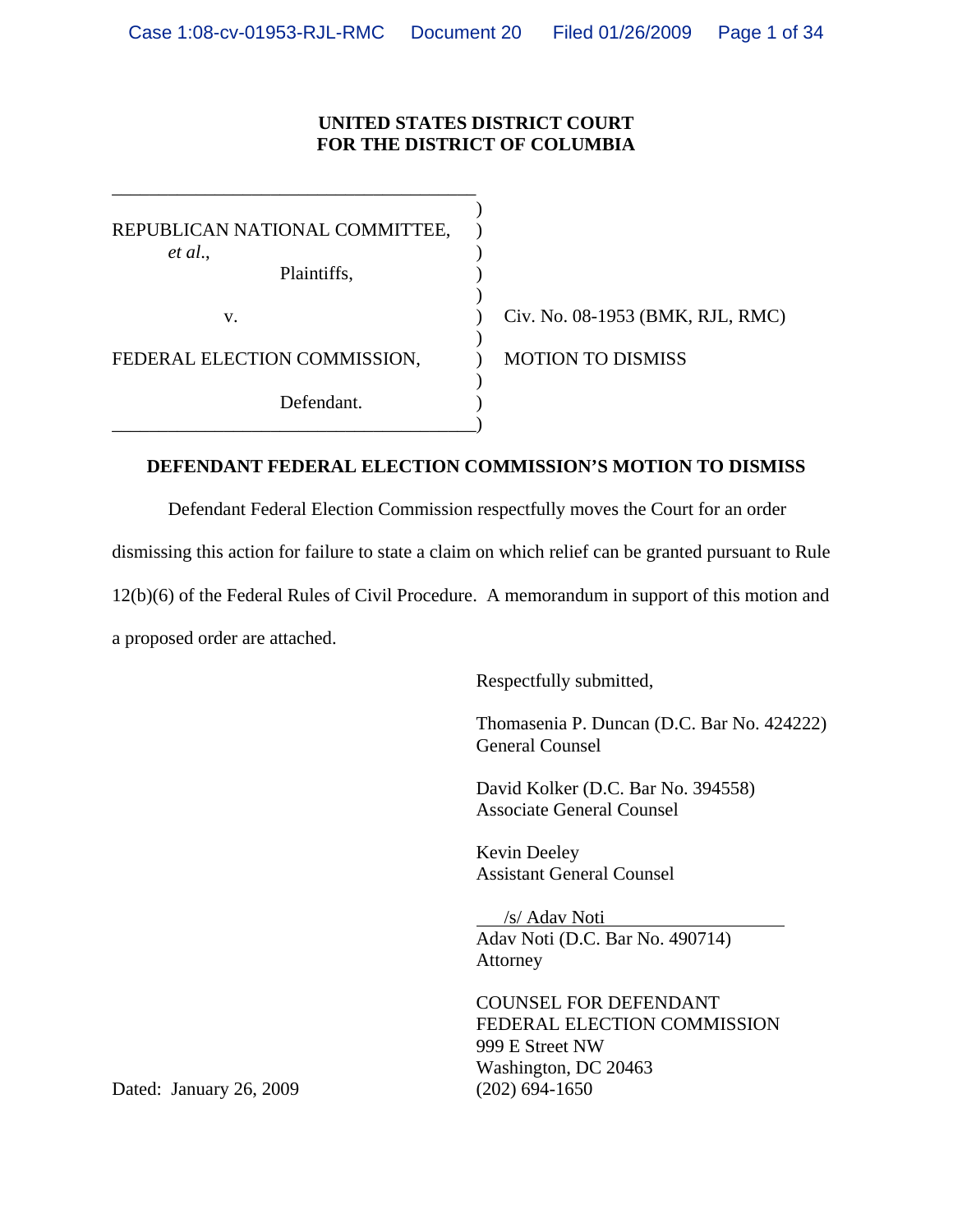## **UNITED STATES DISTRICT COURT FOR THE DISTRICT OF COLUMBIA**

 $\overline{\phantom{a}}$ REPUBLICAN NATIONAL COMMITTEE, ) *et al*., ) Plaintiffs,  $\qquad \qquad$ )  $)$  $)$ FEDERAL ELECTION COMMISSION,  $\overline{O}$  MOTION TO DISMISS  $)$ Defendant. \_\_\_\_\_\_\_\_\_\_\_\_\_\_\_\_\_\_\_\_\_\_\_\_\_\_\_\_\_\_\_\_\_\_\_\_\_\_\_)

\_\_\_\_\_\_\_\_\_\_\_\_\_\_\_\_\_\_\_\_\_\_\_\_\_\_\_\_\_\_\_\_\_\_\_\_\_\_\_

v. ) Civ. No. 08-1953 (BMK, RJL, RMC)

## **DEFENDANT FEDERAL ELECTION COMMISSION'S MOTION TO DISMISS**

Defendant Federal Election Commission respectfully moves the Court for an order

dismissing this action for failure to state a claim on which relief can be granted pursuant to Rule

12(b)(6) of the Federal Rules of Civil Procedure. A memorandum in support of this motion and

a proposed order are attached.

Respectfully submitted,

Thomasenia P. Duncan (D.C. Bar No. 424222) General Counsel

David Kolker (D.C. Bar No. 394558) Associate General Counsel

Kevin Deeley Assistant General Counsel

 /s/ Adav Noti Adav Noti (D.C. Bar No. 490714) Attorney

COUNSEL FOR DEFENDANT FEDERAL ELECTION COMMISSION 999 E Street NW Washington, DC 20463

Dated: January 26, 2009 (202) 694-1650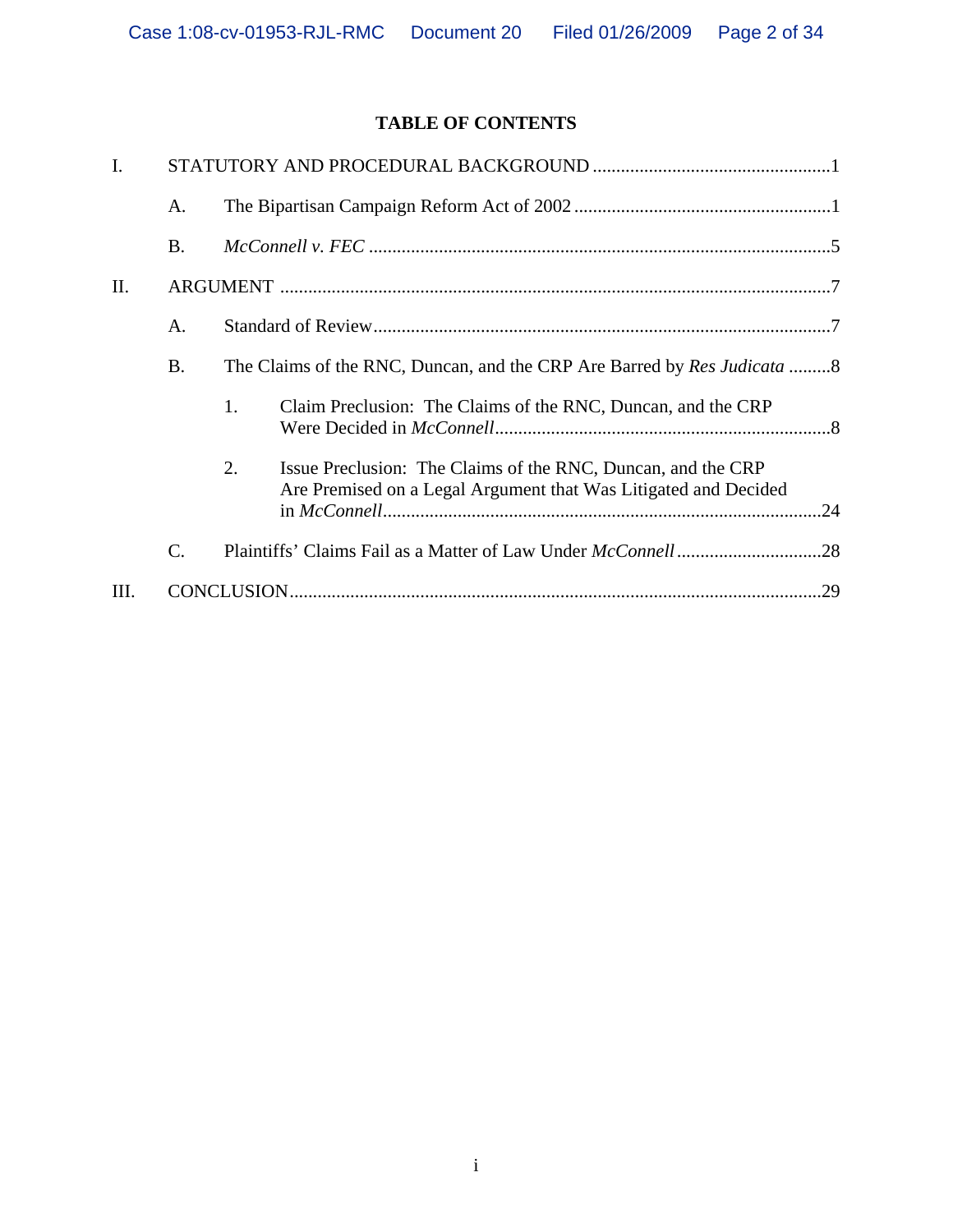# **TABLE OF CONTENTS**

| I.   |                 |                                                                                                                                       |  |  |
|------|-----------------|---------------------------------------------------------------------------------------------------------------------------------------|--|--|
|      | A.              |                                                                                                                                       |  |  |
|      | <b>B.</b>       |                                                                                                                                       |  |  |
| Π.   |                 |                                                                                                                                       |  |  |
|      | A.              |                                                                                                                                       |  |  |
|      | <b>B.</b>       | The Claims of the RNC, Duncan, and the CRP Are Barred by <i>Res Judicata</i> 8                                                        |  |  |
|      |                 | Claim Preclusion: The Claims of the RNC, Duncan, and the CRP<br>1.                                                                    |  |  |
|      |                 | 2.<br>Issue Preclusion: The Claims of the RNC, Duncan, and the CRP<br>Are Premised on a Legal Argument that Was Litigated and Decided |  |  |
|      | $\mathcal{C}$ . |                                                                                                                                       |  |  |
| III. |                 | .29                                                                                                                                   |  |  |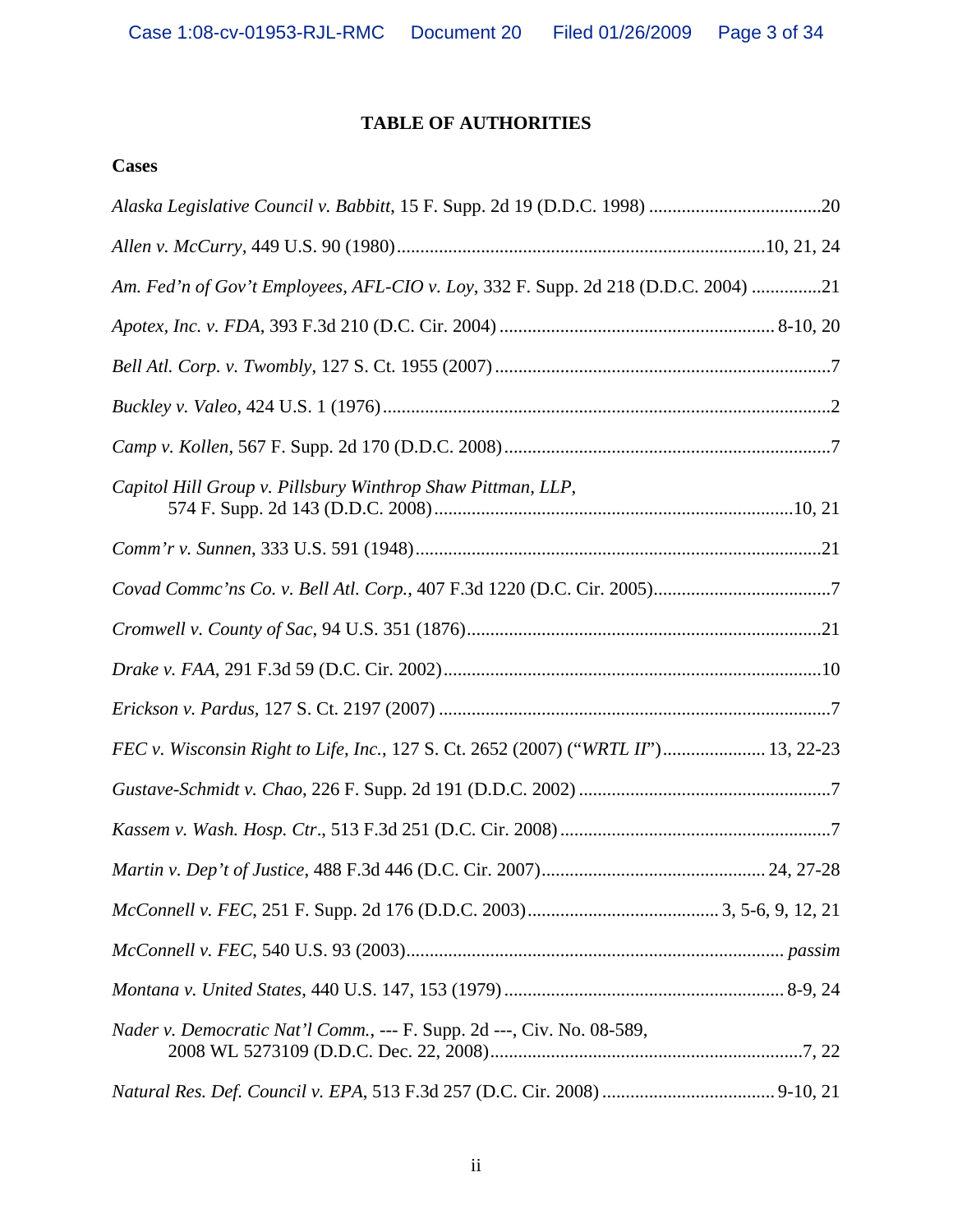# **TABLE OF AUTHORITIES**

# **Cases**

| Am. Fed'n of Gov't Employees, AFL-CIO v. Loy, 332 F. Supp. 2d 218 (D.D.C. 2004) 21 |  |
|------------------------------------------------------------------------------------|--|
|                                                                                    |  |
|                                                                                    |  |
|                                                                                    |  |
|                                                                                    |  |
| Capitol Hill Group v. Pillsbury Winthrop Shaw Pittman, LLP,                        |  |
|                                                                                    |  |
|                                                                                    |  |
|                                                                                    |  |
|                                                                                    |  |
|                                                                                    |  |
| FEC v. Wisconsin Right to Life, Inc., 127 S. Ct. 2652 (2007) ("WRTL II") 13, 22-23 |  |
|                                                                                    |  |
|                                                                                    |  |
|                                                                                    |  |
|                                                                                    |  |
|                                                                                    |  |
|                                                                                    |  |
| Nader v. Democratic Nat'l Comm., --- F. Supp. 2d ---, Civ. No. 08-589,             |  |
|                                                                                    |  |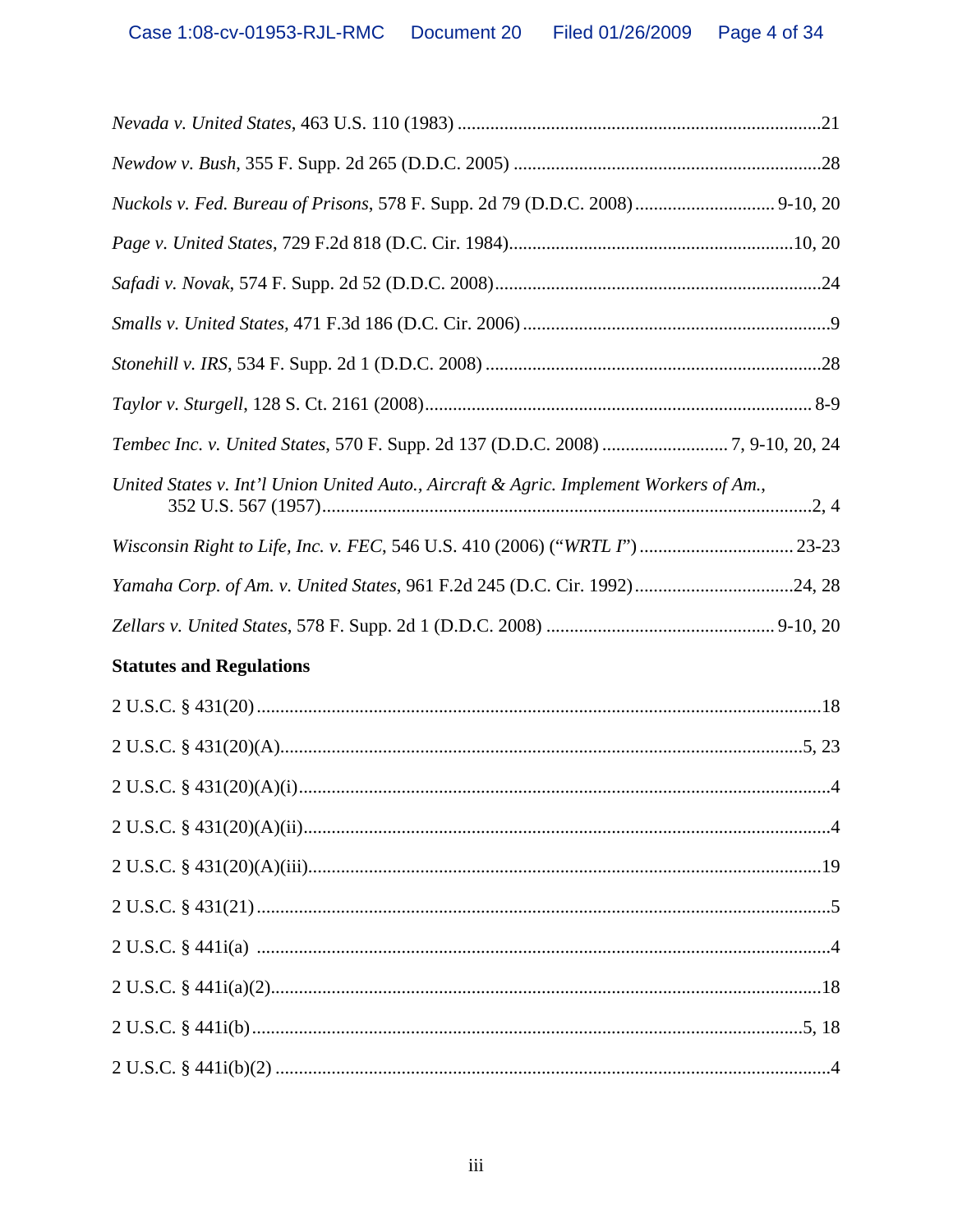| Nuckols v. Fed. Bureau of Prisons, 578 F. Supp. 2d 79 (D.D.C. 2008)  9-10, 20          |  |
|----------------------------------------------------------------------------------------|--|
|                                                                                        |  |
|                                                                                        |  |
|                                                                                        |  |
|                                                                                        |  |
|                                                                                        |  |
| Tembec Inc. v. United States, 570 F. Supp. 2d 137 (D.D.C. 2008) 7, 9-10, 20, 24        |  |
| United States v. Int'l Union United Auto., Aircraft & Agric. Implement Workers of Am., |  |
| Wisconsin Right to Life, Inc. v. FEC, 546 U.S. 410 (2006) ("WRTL I")  23-23            |  |
| Yamaha Corp. of Am. v. United States, 961 F.2d 245 (D.C. Cir. 1992)24, 28              |  |
|                                                                                        |  |
| <b>Statutes and Regulations</b>                                                        |  |
|                                                                                        |  |
|                                                                                        |  |
|                                                                                        |  |
|                                                                                        |  |
|                                                                                        |  |
| $2 U.S.C. § 431(21) \dots 55$                                                          |  |
|                                                                                        |  |
|                                                                                        |  |
|                                                                                        |  |
|                                                                                        |  |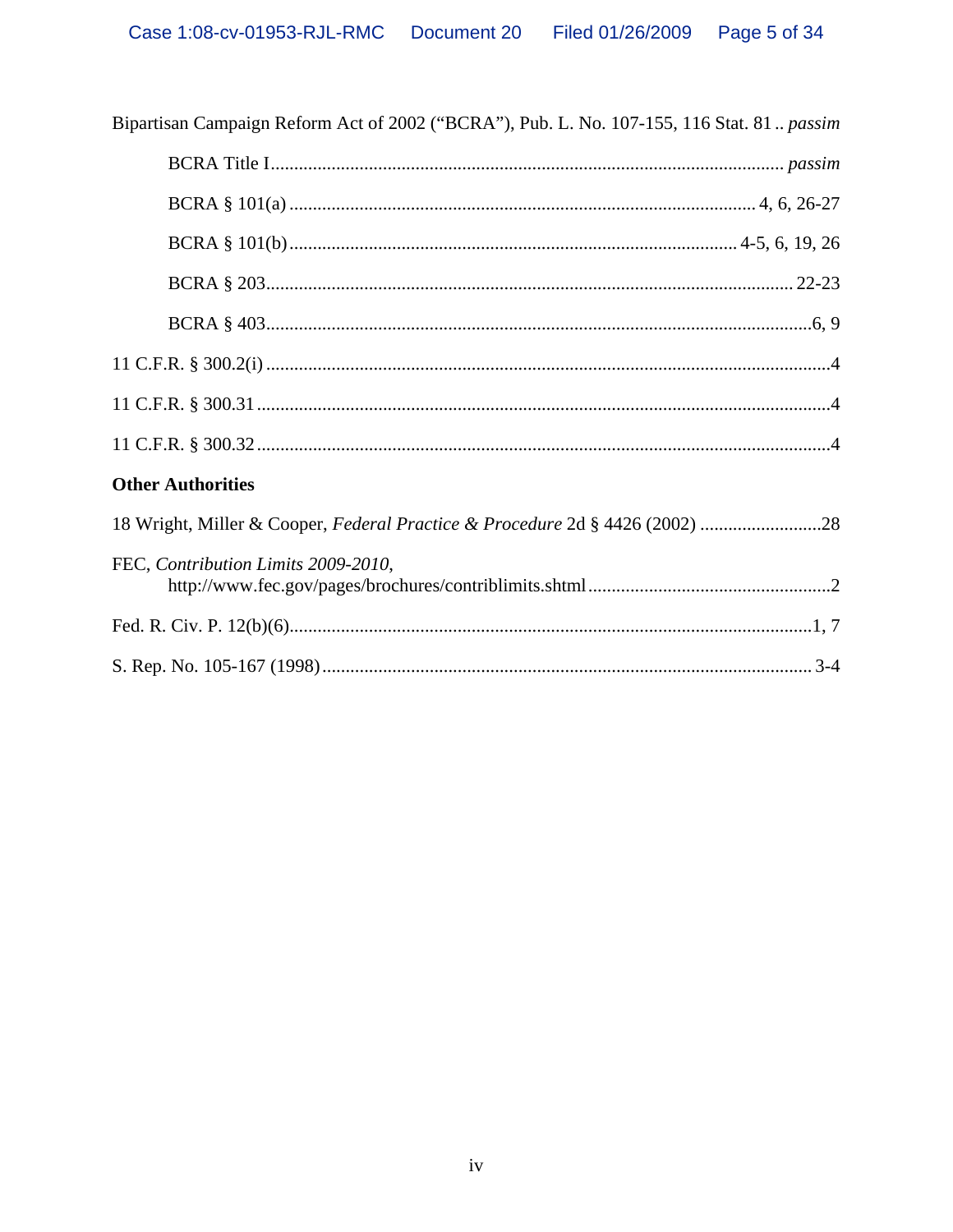| Bipartisan Campaign Reform Act of 2002 ("BCRA"), Pub. L. No. 107-155, 116 Stat. 81 passim |  |  |  |  |
|-------------------------------------------------------------------------------------------|--|--|--|--|
|                                                                                           |  |  |  |  |
|                                                                                           |  |  |  |  |
|                                                                                           |  |  |  |  |
|                                                                                           |  |  |  |  |
|                                                                                           |  |  |  |  |
|                                                                                           |  |  |  |  |
|                                                                                           |  |  |  |  |
|                                                                                           |  |  |  |  |
| <b>Other Authorities</b>                                                                  |  |  |  |  |
| 18 Wright, Miller & Cooper, Federal Practice & Procedure 2d § 4426 (2002) 28              |  |  |  |  |
| FEC, Contribution Limits 2009-2010,                                                       |  |  |  |  |
|                                                                                           |  |  |  |  |
|                                                                                           |  |  |  |  |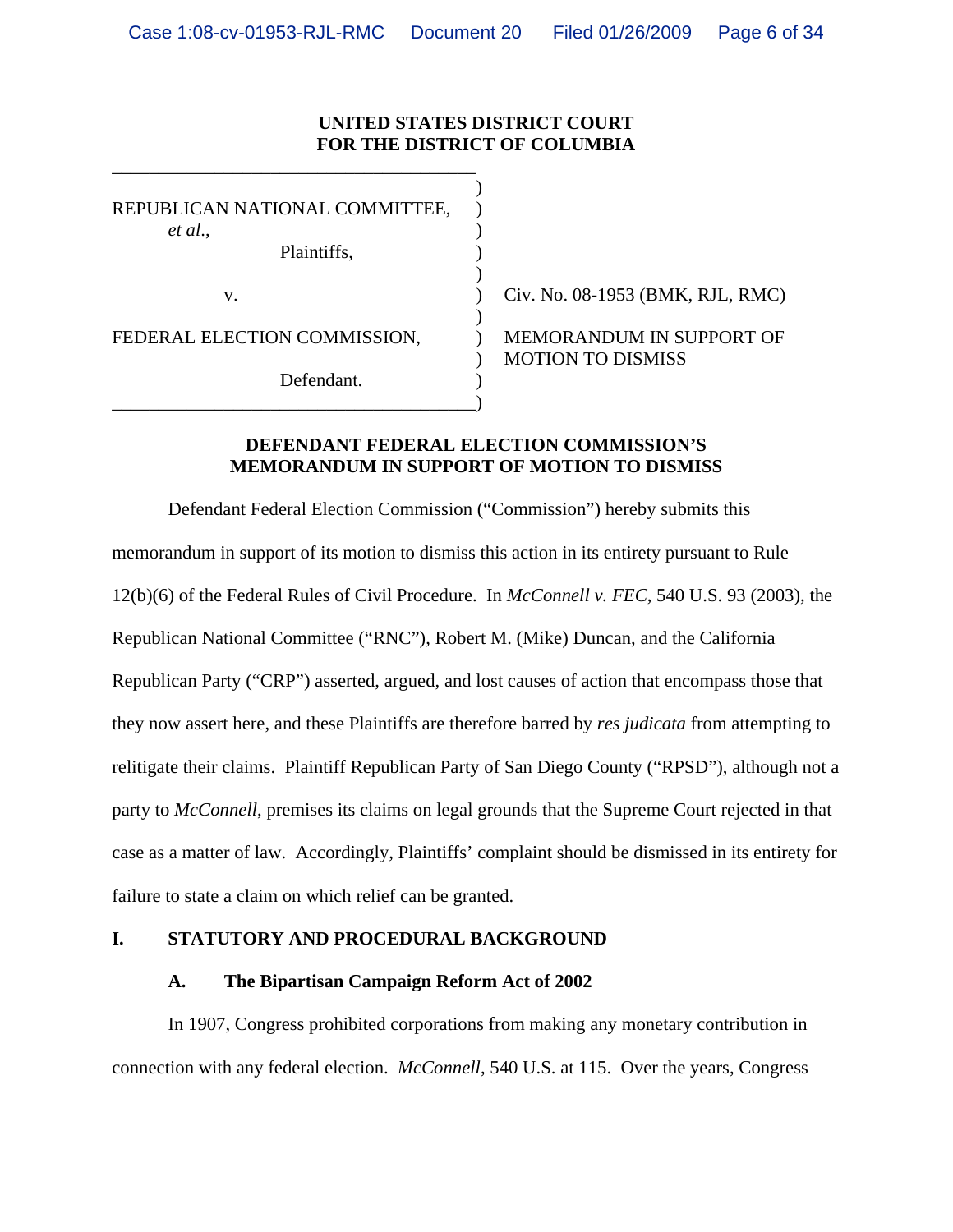## **UNITED STATES DISTRICT COURT FOR THE DISTRICT OF COLUMBIA**

| REPUBLICAN NATIONAL COMMITTEE,<br>et al.,<br>Plaintiffs, |                                  |
|----------------------------------------------------------|----------------------------------|
|                                                          |                                  |
| v.                                                       | Civ. No. 08-1953 (BMK, RJL, RMC) |
| FEDERAL ELECTION COMMISSION,                             | MEMORANDUM IN SUPPORT OF         |
| Defendant.                                               | <b>MOTION TO DISMISS</b>         |
|                                                          |                                  |

\_\_\_\_\_\_\_\_\_\_\_\_\_\_\_\_\_\_\_\_\_\_\_\_\_\_\_\_\_\_\_\_\_\_\_\_\_\_\_

## **DEFENDANT FEDERAL ELECTION COMMISSION'S MEMORANDUM IN SUPPORT OF MOTION TO DISMISS**

Defendant Federal Election Commission ("Commission") hereby submits this memorandum in support of its motion to dismiss this action in its entirety pursuant to Rule 12(b)(6) of the Federal Rules of Civil Procedure. In *McConnell v. FEC*, 540 U.S. 93 (2003), the Republican National Committee ("RNC"), Robert M. (Mike) Duncan, and the California Republican Party ("CRP") asserted, argued, and lost causes of action that encompass those that they now assert here, and these Plaintiffs are therefore barred by *res judicata* from attempting to relitigate their claims. Plaintiff Republican Party of San Diego County ("RPSD"), although not a party to *McConnell*, premises its claims on legal grounds that the Supreme Court rejected in that case as a matter of law. Accordingly, Plaintiffs' complaint should be dismissed in its entirety for failure to state a claim on which relief can be granted.

### **I. STATUTORY AND PROCEDURAL BACKGROUND**

### **A. The Bipartisan Campaign Reform Act of 2002**

In 1907, Congress prohibited corporations from making any monetary contribution in connection with any federal election. *McConnell*, 540 U.S. at 115. Over the years, Congress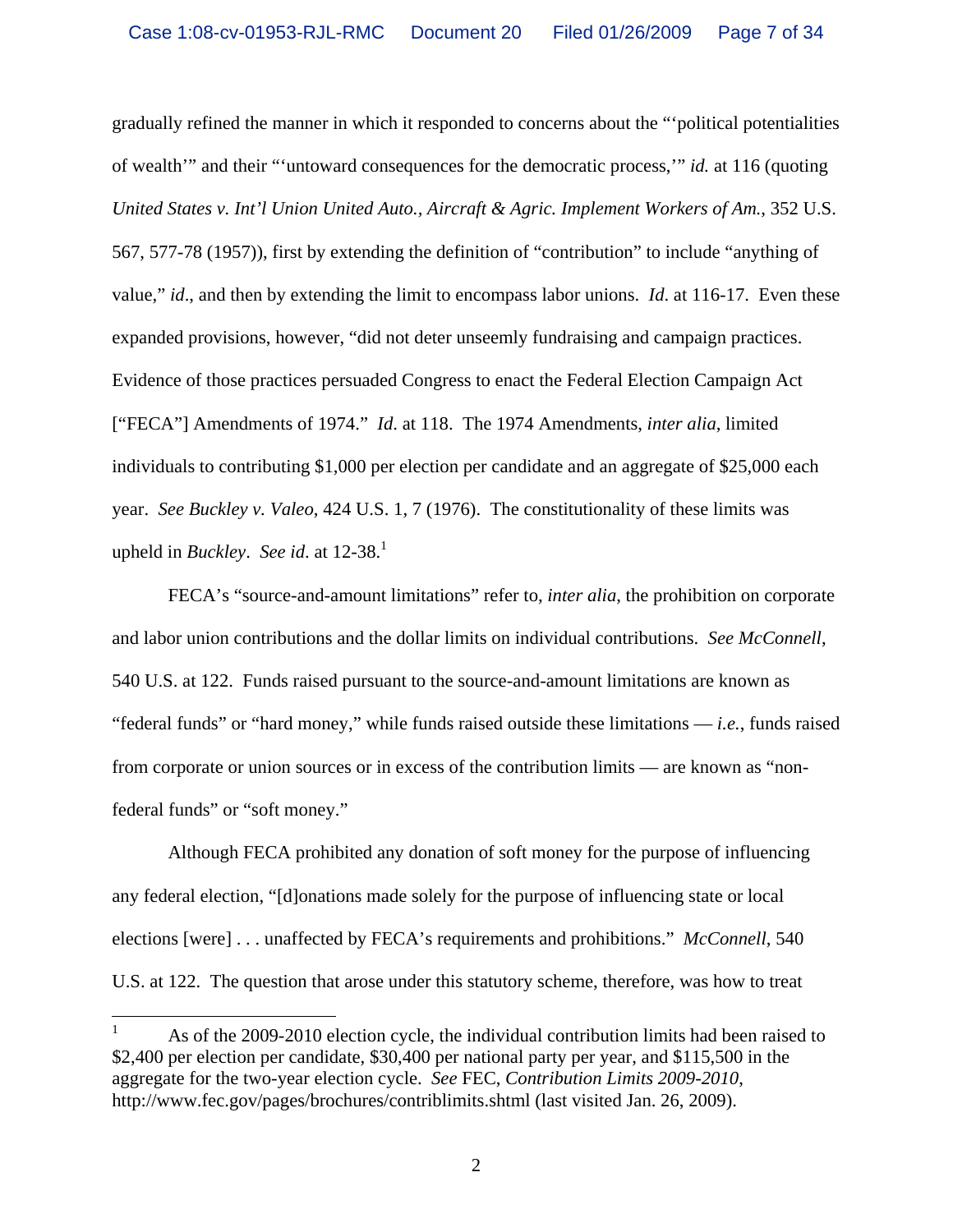gradually refined the manner in which it responded to concerns about the "'political potentialities of wealth'" and their "'untoward consequences for the democratic process,'" *id.* at 116 (quoting *United States v. Int'l Union United Auto., Aircraft & Agric. Implement Workers of Am.*, 352 U.S. 567, 577-78 (1957)), first by extending the definition of "contribution" to include "anything of value," *id*., and then by extending the limit to encompass labor unions. *Id*. at 116-17. Even these expanded provisions, however, "did not deter unseemly fundraising and campaign practices. Evidence of those practices persuaded Congress to enact the Federal Election Campaign Act ["FECA"] Amendments of 1974." *Id*. at 118. The 1974 Amendments, *inter alia*, limited individuals to contributing \$1,000 per election per candidate and an aggregate of \$25,000 each year. *See Buckley v. Valeo*, 424 U.S. 1, 7 (1976). The constitutionality of these limits was upheld in *Buckley*. *See id.* at  $12-38$ <sup>1</sup>

FECA's "source-and-amount limitations" refer to, *inter alia*, the prohibition on corporate and labor union contributions and the dollar limits on individual contributions. *See McConnell*, 540 U.S. at 122. Funds raised pursuant to the source-and-amount limitations are known as "federal funds" or "hard money," while funds raised outside these limitations — *i.e.*, funds raised from corporate or union sources or in excess of the contribution limits — are known as "nonfederal funds" or "soft money."

Although FECA prohibited any donation of soft money for the purpose of influencing any federal election, "[d]onations made solely for the purpose of influencing state or local elections [were] . . . unaffected by FECA's requirements and prohibitions." *McConnell*, 540 U.S. at 122. The question that arose under this statutory scheme, therefore, was how to treat

 $\frac{1}{1}$  As of the 2009-2010 election cycle, the individual contribution limits had been raised to \$2,400 per election per candidate, \$30,400 per national party per year, and \$115,500 in the aggregate for the two-year election cycle. *See* FEC, *Contribution Limits 2009-2010*, http://www.fec.gov/pages/brochures/contriblimits.shtml (last visited Jan. 26, 2009).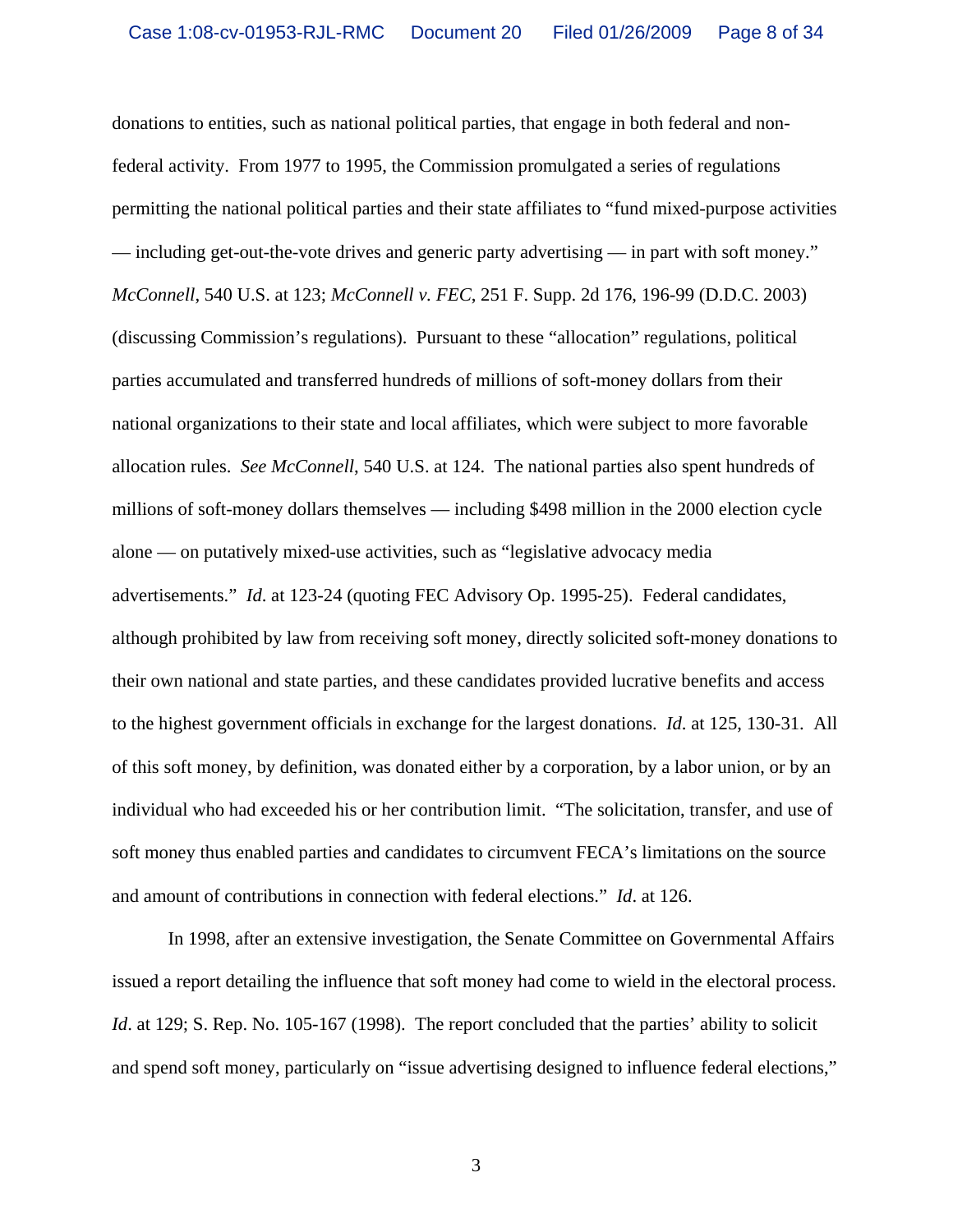donations to entities, such as national political parties, that engage in both federal and nonfederal activity. From 1977 to 1995, the Commission promulgated a series of regulations permitting the national political parties and their state affiliates to "fund mixed-purpose activities — including get-out-the-vote drives and generic party advertising — in part with soft money." *McConnell*, 540 U.S. at 123; *McConnell v. FEC*, 251 F. Supp. 2d 176, 196-99 (D.D.C. 2003) (discussing Commission's regulations). Pursuant to these "allocation" regulations, political parties accumulated and transferred hundreds of millions of soft-money dollars from their national organizations to their state and local affiliates, which were subject to more favorable allocation rules. *See McConnell*, 540 U.S. at 124. The national parties also spent hundreds of millions of soft-money dollars themselves — including \$498 million in the 2000 election cycle alone — on putatively mixed-use activities, such as "legislative advocacy media advertisements." *Id*. at 123-24 (quoting FEC Advisory Op. 1995-25). Federal candidates, although prohibited by law from receiving soft money, directly solicited soft-money donations to their own national and state parties, and these candidates provided lucrative benefits and access to the highest government officials in exchange for the largest donations. *Id*. at 125, 130-31. All of this soft money, by definition, was donated either by a corporation, by a labor union, or by an individual who had exceeded his or her contribution limit. "The solicitation, transfer, and use of soft money thus enabled parties and candidates to circumvent FECA's limitations on the source and amount of contributions in connection with federal elections." *Id*. at 126.

In 1998, after an extensive investigation, the Senate Committee on Governmental Affairs issued a report detailing the influence that soft money had come to wield in the electoral process. *Id.* at 129; S. Rep. No. 105-167 (1998). The report concluded that the parties' ability to solicit and spend soft money, particularly on "issue advertising designed to influence federal elections,"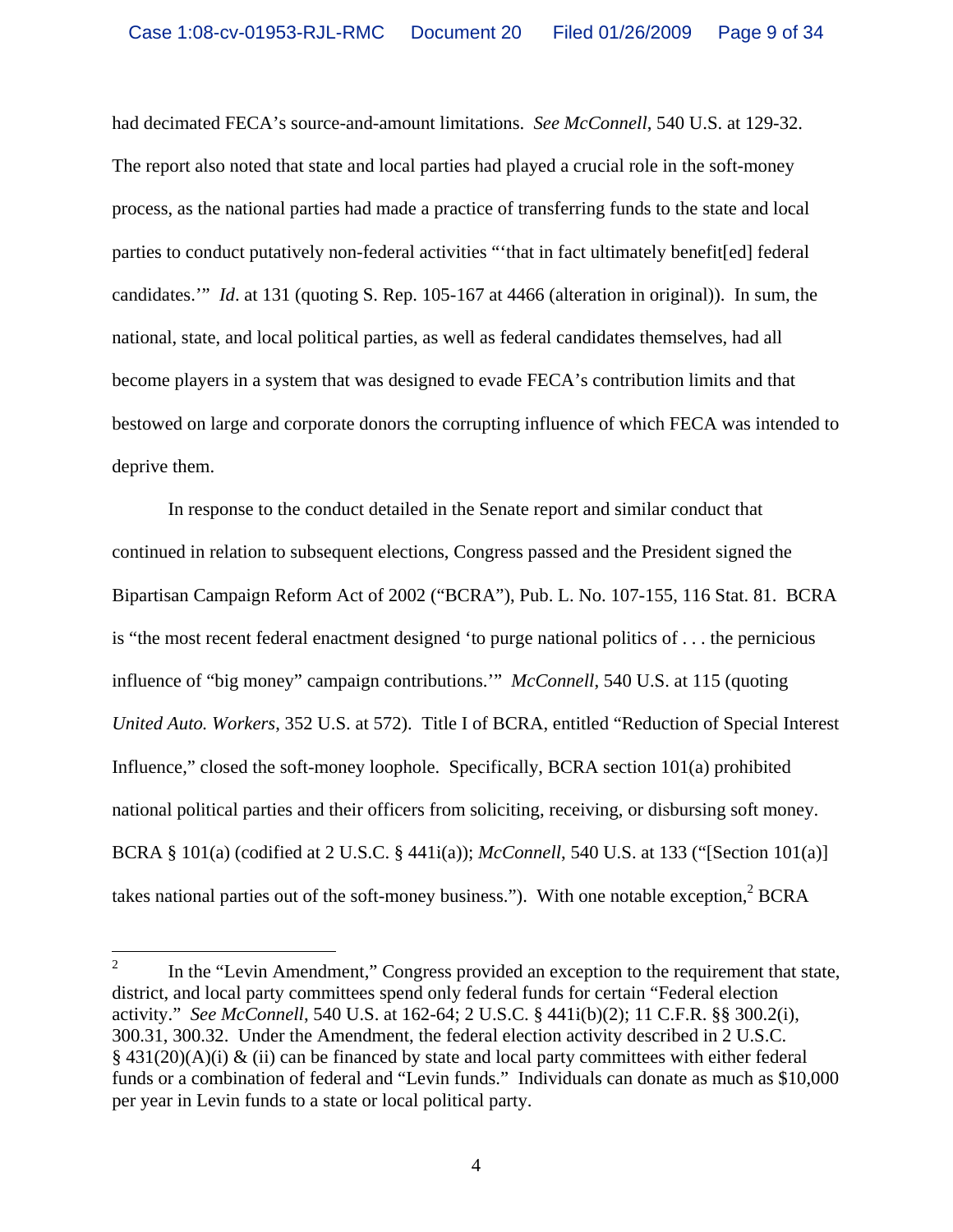had decimated FECA's source-and-amount limitations. *See McConnell*, 540 U.S. at 129-32. The report also noted that state and local parties had played a crucial role in the soft-money process, as the national parties had made a practice of transferring funds to the state and local parties to conduct putatively non-federal activities "'that in fact ultimately benefit[ed] federal candidates.'" *Id*. at 131 (quoting S. Rep. 105-167 at 4466 (alteration in original)). In sum, the national, state, and local political parties, as well as federal candidates themselves, had all become players in a system that was designed to evade FECA's contribution limits and that bestowed on large and corporate donors the corrupting influence of which FECA was intended to deprive them.

In response to the conduct detailed in the Senate report and similar conduct that continued in relation to subsequent elections, Congress passed and the President signed the Bipartisan Campaign Reform Act of 2002 ("BCRA"), Pub. L. No. 107-155, 116 Stat. 81. BCRA is "the most recent federal enactment designed 'to purge national politics of . . . the pernicious influence of "big money" campaign contributions.'" *McConnell*, 540 U.S. at 115 (quoting *United Auto. Workers*, 352 U.S. at 572). Title I of BCRA, entitled "Reduction of Special Interest Influence," closed the soft-money loophole. Specifically, BCRA section 101(a) prohibited national political parties and their officers from soliciting, receiving, or disbursing soft money. BCRA § 101(a) (codified at 2 U.S.C. § 441i(a)); *McConnell*, 540 U.S. at 133 ("[Section 101(a)] takes national parties out of the soft-money business."). With one notable exception,  $2^2$  BCRA

 $\frac{1}{2}$  In the "Levin Amendment," Congress provided an exception to the requirement that state, district, and local party committees spend only federal funds for certain "Federal election activity." *See McConnell*, 540 U.S. at 162-64; 2 U.S.C. § 441i(b)(2); 11 C.F.R. §§ 300.2(i), 300.31, 300.32. Under the Amendment, the federal election activity described in 2 U.S.C.  $§$  431(20)(A)(i) & (ii) can be financed by state and local party committees with either federal funds or a combination of federal and "Levin funds." Individuals can donate as much as \$10,000 per year in Levin funds to a state or local political party.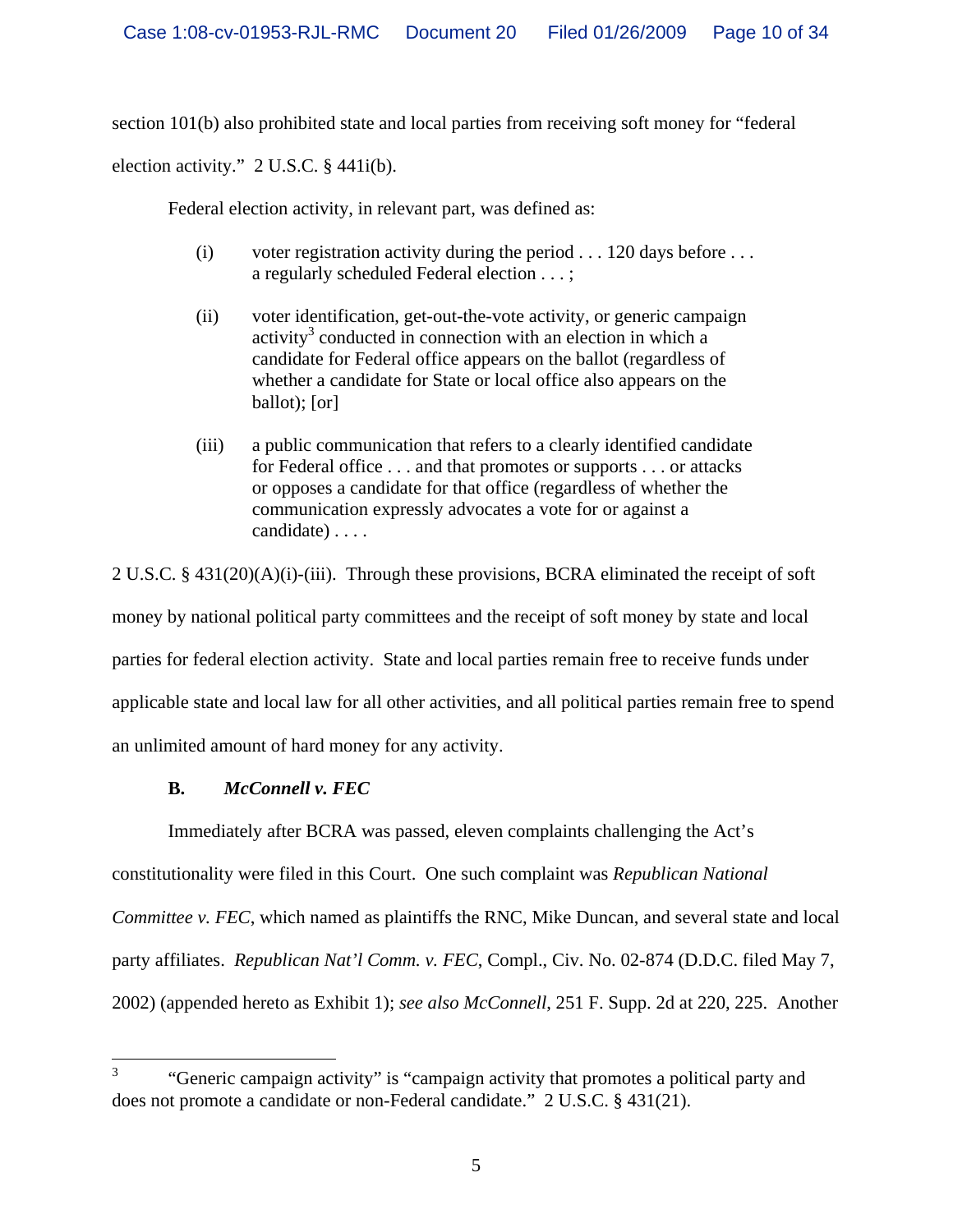section 101(b) also prohibited state and local parties from receiving soft money for "federal

election activity." 2 U.S.C. § 441i(b).

Federal election activity, in relevant part, was defined as:

- (i) voter registration activity during the period  $\dots$  120 days before  $\dots$ a regularly scheduled Federal election . . . ;
- (ii) voter identification, get-out-the-vote activity, or generic campaign activity<sup>3</sup> conducted in connection with an election in which a candidate for Federal office appears on the ballot (regardless of whether a candidate for State or local office also appears on the ballot); [or]
- (iii) a public communication that refers to a clearly identified candidate for Federal office . . . and that promotes or supports . . . or attacks or opposes a candidate for that office (regardless of whether the communication expressly advocates a vote for or against a candidate) . . . .

2 U.S.C. §  $431(20)(A)(i)$ -(iii). Through these provisions, BCRA eliminated the receipt of soft money by national political party committees and the receipt of soft money by state and local parties for federal election activity. State and local parties remain free to receive funds under applicable state and local law for all other activities, and all political parties remain free to spend an unlimited amount of hard money for any activity.

## **B.** *McConnell v. FEC*

Immediately after BCRA was passed, eleven complaints challenging the Act's

constitutionality were filed in this Court. One such complaint was *Republican National* 

*Committee v. FEC*, which named as plaintiffs the RNC, Mike Duncan, and several state and local

party affiliates. *Republican Nat'l Comm. v. FEC*, Compl., Civ. No. 02-874 (D.D.C. filed May 7,

2002) (appended hereto as Exhibit 1); *see also McConnell*, 251 F. Supp. 2d at 220, 225. Another

 3 "Generic campaign activity" is "campaign activity that promotes a political party and does not promote a candidate or non-Federal candidate." 2 U.S.C. § 431(21).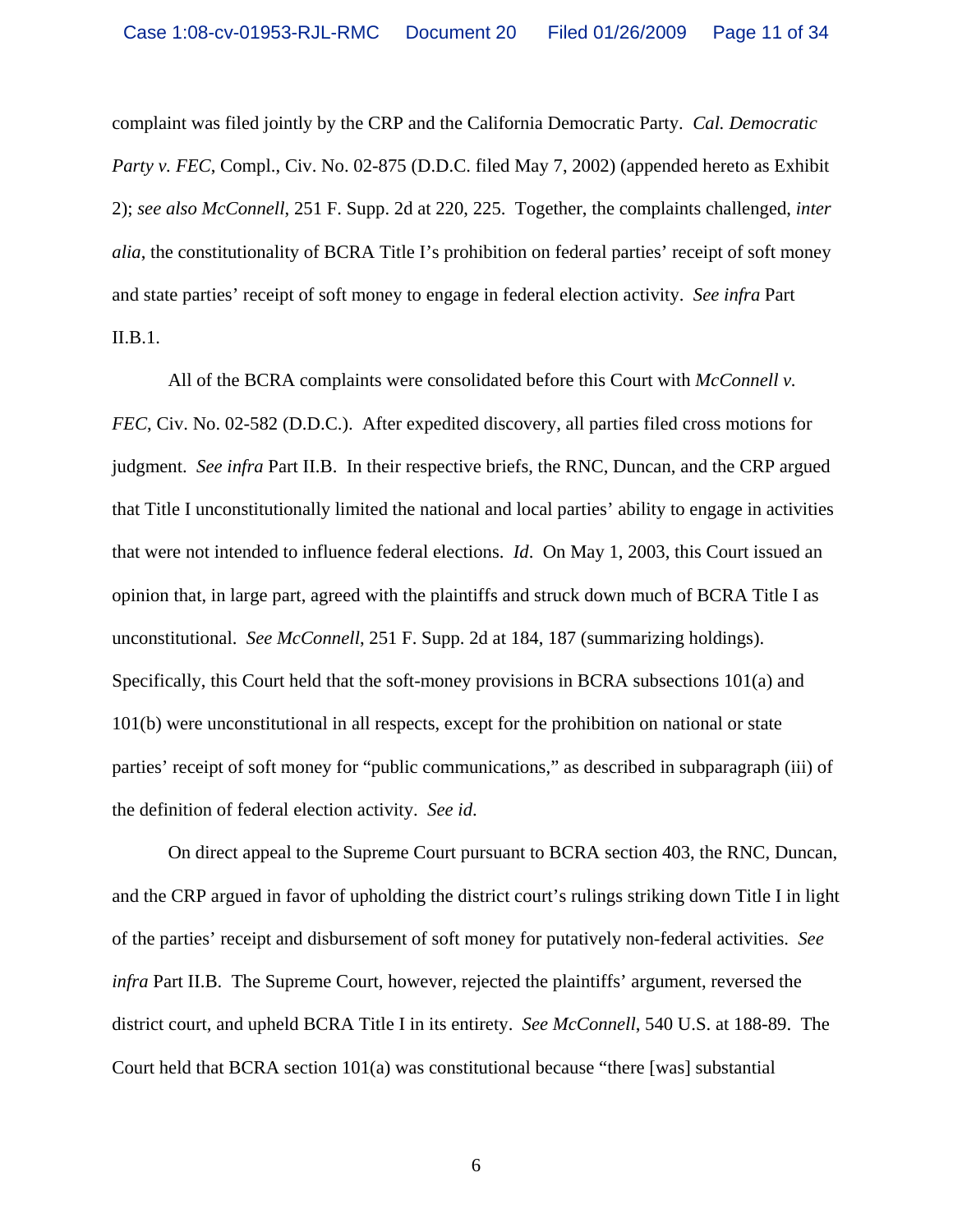complaint was filed jointly by the CRP and the California Democratic Party. *Cal. Democratic Party v. FEC*, Compl., Civ. No. 02-875 (D.D.C. filed May 7, 2002) (appended hereto as Exhibit 2); *see also McConnell*, 251 F. Supp. 2d at 220, 225. Together, the complaints challenged, *inter alia*, the constitutionality of BCRA Title I's prohibition on federal parties' receipt of soft money and state parties' receipt of soft money to engage in federal election activity. *See infra* Part II.B.1.

 All of the BCRA complaints were consolidated before this Court with *McConnell v. FEC*, Civ. No. 02-582 (D.D.C.). After expedited discovery, all parties filed cross motions for judgment. *See infra* Part II.B. In their respective briefs, the RNC, Duncan, and the CRP argued that Title I unconstitutionally limited the national and local parties' ability to engage in activities that were not intended to influence federal elections. *Id*. On May 1, 2003, this Court issued an opinion that, in large part, agreed with the plaintiffs and struck down much of BCRA Title I as unconstitutional. *See McConnell*, 251 F. Supp. 2d at 184, 187 (summarizing holdings). Specifically, this Court held that the soft-money provisions in BCRA subsections 101(a) and 101(b) were unconstitutional in all respects, except for the prohibition on national or state parties' receipt of soft money for "public communications," as described in subparagraph (iii) of the definition of federal election activity. *See id*.

On direct appeal to the Supreme Court pursuant to BCRA section 403, the RNC, Duncan, and the CRP argued in favor of upholding the district court's rulings striking down Title I in light of the parties' receipt and disbursement of soft money for putatively non-federal activities. *See infra* Part II.B. The Supreme Court, however, rejected the plaintiffs' argument, reversed the district court, and upheld BCRA Title I in its entirety. *See McConnell*, 540 U.S. at 188-89. The Court held that BCRA section 101(a) was constitutional because "there [was] substantial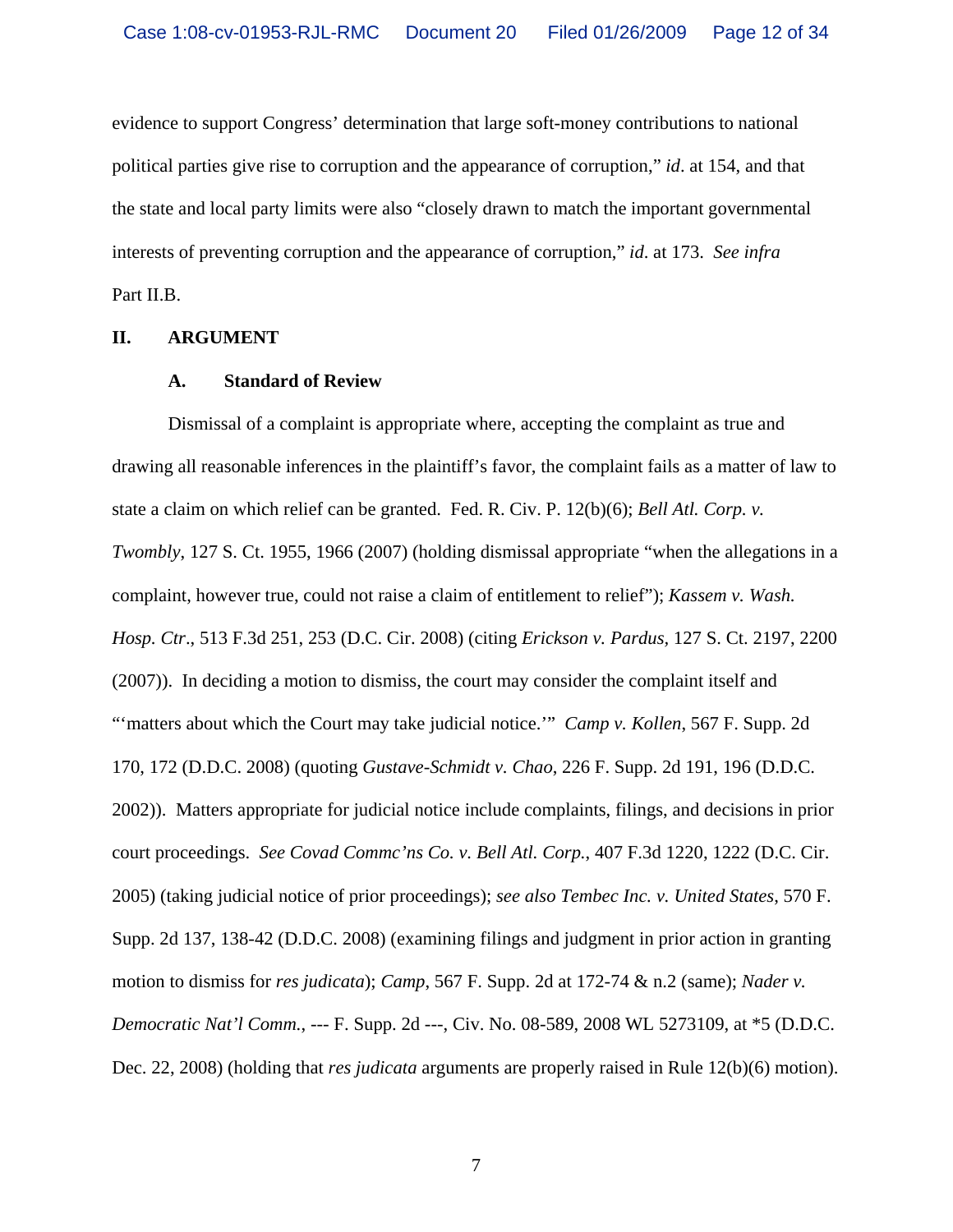evidence to support Congress' determination that large soft-money contributions to national political parties give rise to corruption and the appearance of corruption," *id*. at 154, and that the state and local party limits were also "closely drawn to match the important governmental interests of preventing corruption and the appearance of corruption," *id*. at 173. *See infra* Part II.B.

### **II. ARGUMENT**

#### **A. Standard of Review**

Dismissal of a complaint is appropriate where, accepting the complaint as true and drawing all reasonable inferences in the plaintiff's favor, the complaint fails as a matter of law to state a claim on which relief can be granted. Fed. R. Civ. P. 12(b)(6); *Bell Atl. Corp. v. Twombly*, 127 S. Ct. 1955, 1966 (2007) (holding dismissal appropriate "when the allegations in a complaint, however true, could not raise a claim of entitlement to relief"); *Kassem v. Wash. Hosp. Ctr*., 513 F.3d 251, 253 (D.C. Cir. 2008) (citing *Erickson v. Pardus,* 127 S. Ct. 2197, 2200 (2007)). In deciding a motion to dismiss, the court may consider the complaint itself and "'matters about which the Court may take judicial notice."" *Camp v. Kollen*, 567 F. Supp. 2d 170, 172 (D.D.C. 2008) (quoting *Gustave-Schmidt v. Chao*, 226 F. Supp. 2d 191, 196 (D.D.C. 2002)). Matters appropriate for judicial notice include complaints, filings, and decisions in prior court proceedings. *See Covad Commc'ns Co. v. Bell Atl. Corp.*, 407 F.3d 1220, 1222 (D.C. Cir. 2005) (taking judicial notice of prior proceedings); *see also Tembec Inc. v. United States*, 570 F. Supp. 2d 137, 138-42 (D.D.C. 2008) (examining filings and judgment in prior action in granting motion to dismiss for *res judicata*); *Camp*, 567 F. Supp. 2d at 172-74 & n.2 (same); *Nader v. Democratic Nat'l Comm.*, --- F. Supp. 2d ---, Civ. No. 08-589, 2008 WL 5273109, at \*5 (D.D.C. Dec. 22, 2008) (holding that *res judicata* arguments are properly raised in Rule 12(b)(6) motion).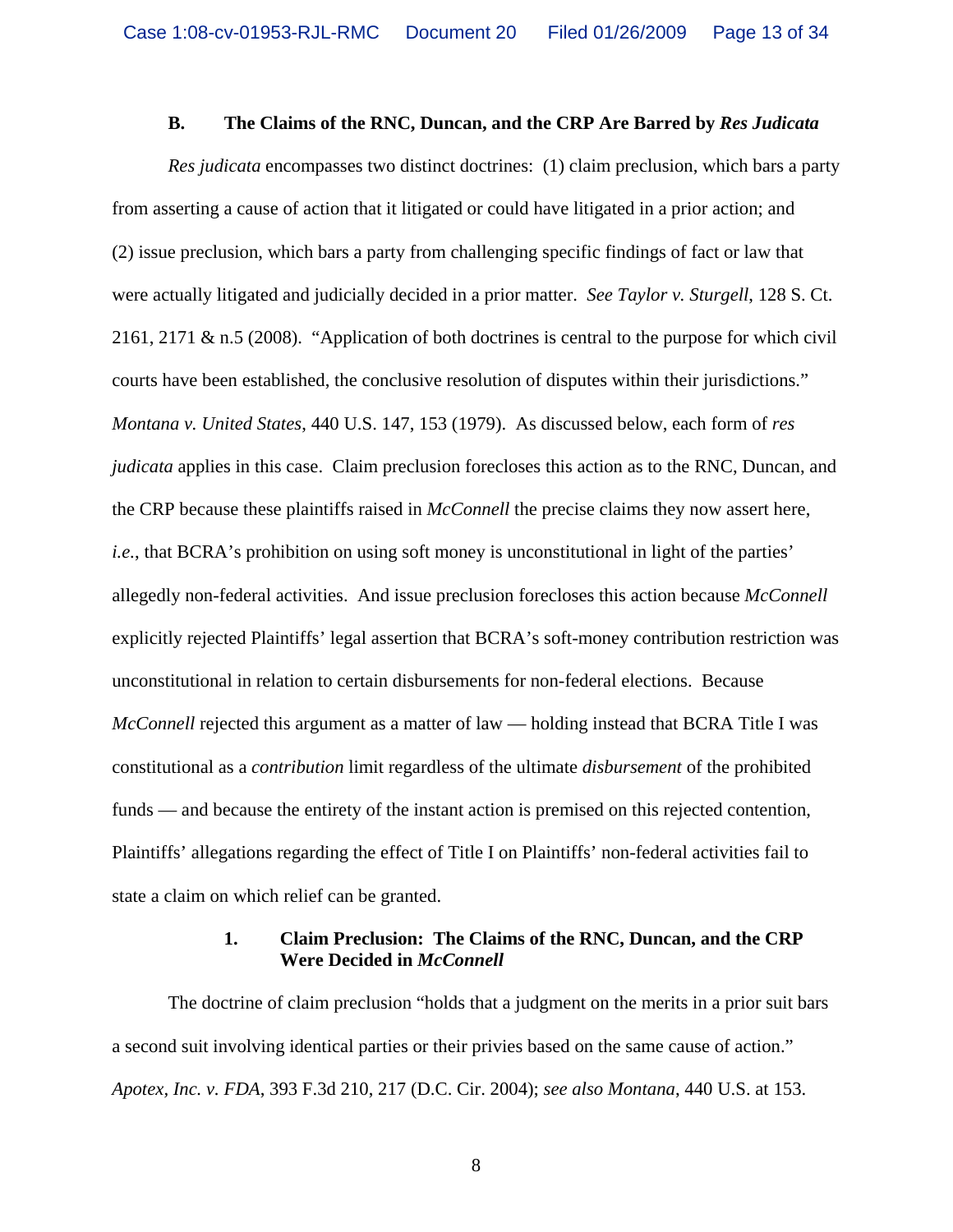### **B. The Claims of the RNC, Duncan, and the CRP Are Barred by** *Res Judicata*

*Res judicata* encompasses two distinct doctrines: (1) claim preclusion, which bars a party from asserting a cause of action that it litigated or could have litigated in a prior action; and (2) issue preclusion, which bars a party from challenging specific findings of fact or law that were actually litigated and judicially decided in a prior matter. *See Taylor v. Sturgell*, 128 S. Ct. 2161, 2171 & n.5 (2008). "Application of both doctrines is central to the purpose for which civil courts have been established, the conclusive resolution of disputes within their jurisdictions." *Montana v. United States*, 440 U.S. 147, 153 (1979). As discussed below, each form of *res judicata* applies in this case. Claim preclusion forecloses this action as to the RNC, Duncan, and the CRP because these plaintiffs raised in *McConnell* the precise claims they now assert here, *i.e.*, that BCRA's prohibition on using soft money is unconstitutional in light of the parties' allegedly non-federal activities. And issue preclusion forecloses this action because *McConnell* explicitly rejected Plaintiffs' legal assertion that BCRA's soft-money contribution restriction was unconstitutional in relation to certain disbursements for non-federal elections. Because *McConnell* rejected this argument as a matter of law — holding instead that BCRA Title I was constitutional as a *contribution* limit regardless of the ultimate *disbursement* of the prohibited funds — and because the entirety of the instant action is premised on this rejected contention, Plaintiffs' allegations regarding the effect of Title I on Plaintiffs' non-federal activities fail to state a claim on which relief can be granted.

### **1. Claim Preclusion: The Claims of the RNC, Duncan, and the CRP Were Decided in** *McConnell*

The doctrine of claim preclusion "holds that a judgment on the merits in a prior suit bars a second suit involving identical parties or their privies based on the same cause of action." *Apotex, Inc. v. FDA*, 393 F.3d 210, 217 (D.C. Cir. 2004); *see also Montana*, 440 U.S. at 153.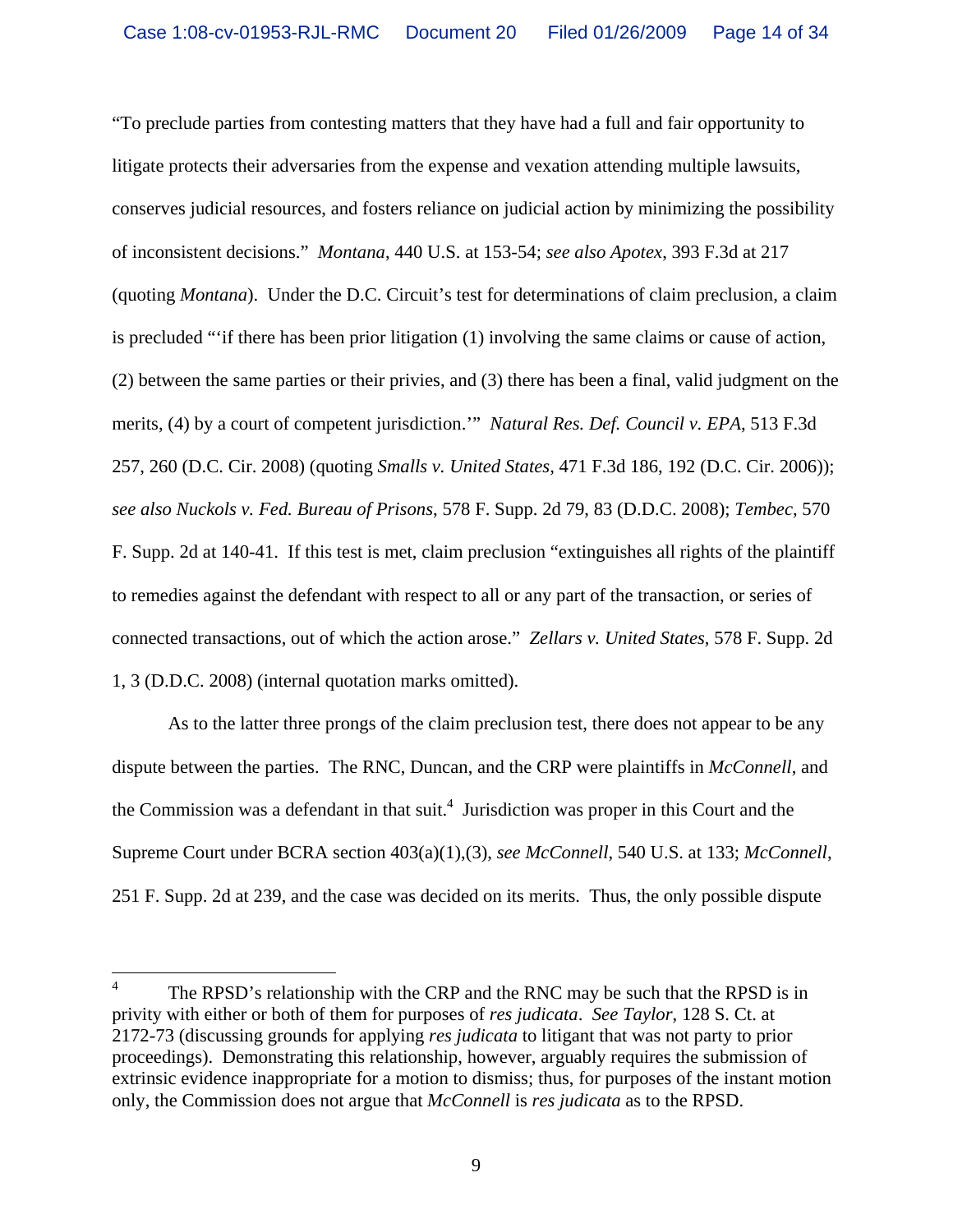"To preclude parties from contesting matters that they have had a full and fair opportunity to litigate protects their adversaries from the expense and vexation attending multiple lawsuits, conserves judicial resources, and fosters reliance on judicial action by minimizing the possibility of inconsistent decisions." *Montana*, 440 U.S. at 153-54; *see also Apotex*, 393 F.3d at 217 (quoting *Montana*). Under the D.C. Circuit's test for determinations of claim preclusion, a claim is precluded "'if there has been prior litigation (1) involving the same claims or cause of action, (2) between the same parties or their privies, and (3) there has been a final, valid judgment on the merits, (4) by a court of competent jurisdiction.'" *Natural Res. Def. Council v. EPA*, 513 F.3d 257, 260 (D.C. Cir. 2008) (quoting *Smalls v. United States,* 471 F.3d 186, 192 (D.C. Cir. 2006)); *see also Nuckols v. Fed. Bureau of Prisons*, 578 F. Supp. 2d 79, 83 (D.D.C. 2008); *Tembec*, 570 F. Supp. 2d at 140-41. If this test is met, claim preclusion "extinguishes all rights of the plaintiff to remedies against the defendant with respect to all or any part of the transaction, or series of connected transactions, out of which the action arose." *Zellars v. United States*, 578 F. Supp. 2d 1, 3 (D.D.C. 2008) (internal quotation marks omitted).

As to the latter three prongs of the claim preclusion test, there does not appear to be any dispute between the parties. The RNC, Duncan, and the CRP were plaintiffs in *McConnell*, and the Commission was a defendant in that suit.<sup>4</sup> Jurisdiction was proper in this Court and the Supreme Court under BCRA section 403(a)(1),(3), *see McConnell*, 540 U.S. at 133; *McConnell*, 251 F. Supp. 2d at 239, and the case was decided on its merits. Thus, the only possible dispute

 $\overline{a}$ 

<sup>4</sup> The RPSD's relationship with the CRP and the RNC may be such that the RPSD is in privity with either or both of them for purposes of *res judicata*. *See Taylor*, 128 S. Ct. at 2172-73 (discussing grounds for applying *res judicata* to litigant that was not party to prior proceedings). Demonstrating this relationship, however, arguably requires the submission of extrinsic evidence inappropriate for a motion to dismiss; thus, for purposes of the instant motion only, the Commission does not argue that *McConnell* is *res judicata* as to the RPSD.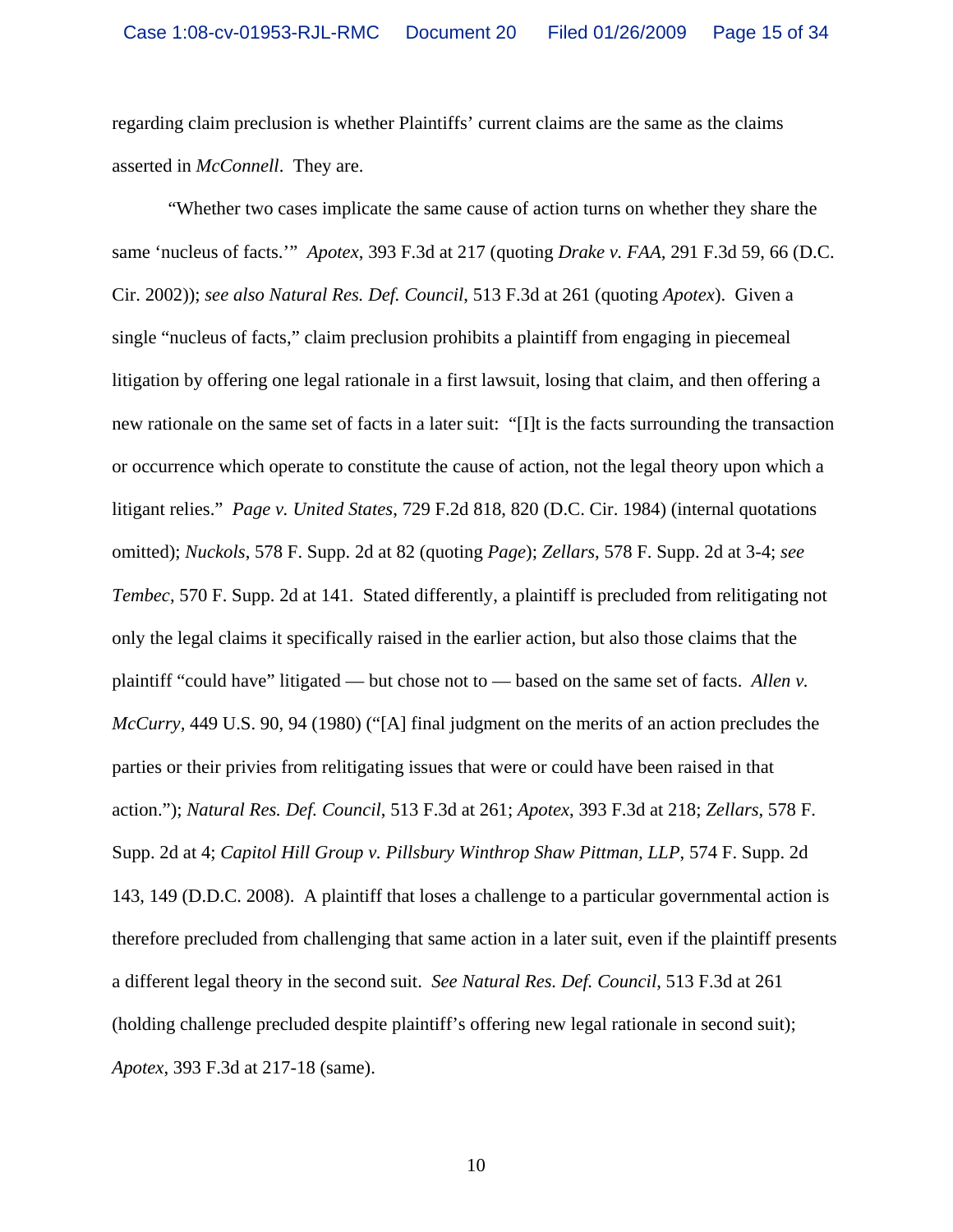regarding claim preclusion is whether Plaintiffs' current claims are the same as the claims asserted in *McConnell*. They are.

"Whether two cases implicate the same cause of action turns on whether they share the same 'nucleus of facts.'" *Apotex*, 393 F.3d at 217 (quoting *Drake v. FAA,* 291 F.3d 59, 66 (D.C. Cir. 2002)); *see also Natural Res. Def. Council*, 513 F.3d at 261 (quoting *Apotex*). Given a single "nucleus of facts," claim preclusion prohibits a plaintiff from engaging in piecemeal litigation by offering one legal rationale in a first lawsuit, losing that claim, and then offering a new rationale on the same set of facts in a later suit: "[I]t is the facts surrounding the transaction or occurrence which operate to constitute the cause of action, not the legal theory upon which a litigant relies." *Page v. United States*, 729 F.2d 818, 820 (D.C. Cir. 1984) (internal quotations omitted); *Nuckols*, 578 F. Supp. 2d at 82 (quoting *Page*); *Zellars*, 578 F. Supp. 2d at 3-4; *see Tembec*, 570 F. Supp. 2d at 141. Stated differently, a plaintiff is precluded from relitigating not only the legal claims it specifically raised in the earlier action, but also those claims that the plaintiff "could have" litigated — but chose not to — based on the same set of facts. *Allen v. McCurry,* 449 U.S. 90, 94 (1980) ("[A] final judgment on the merits of an action precludes the parties or their privies from relitigating issues that were or could have been raised in that action."); *Natural Res. Def. Council*, 513 F.3d at 261; *Apotex*, 393 F.3d at 218; *Zellars*, 578 F. Supp. 2d at 4; *Capitol Hill Group v. Pillsbury Winthrop Shaw Pittman, LLP*, 574 F. Supp. 2d 143, 149 (D.D.C. 2008). A plaintiff that loses a challenge to a particular governmental action is therefore precluded from challenging that same action in a later suit, even if the plaintiff presents a different legal theory in the second suit. *See Natural Res. Def. Council*, 513 F.3d at 261 (holding challenge precluded despite plaintiff's offering new legal rationale in second suit); *Apotex*, 393 F.3d at 217-18 (same).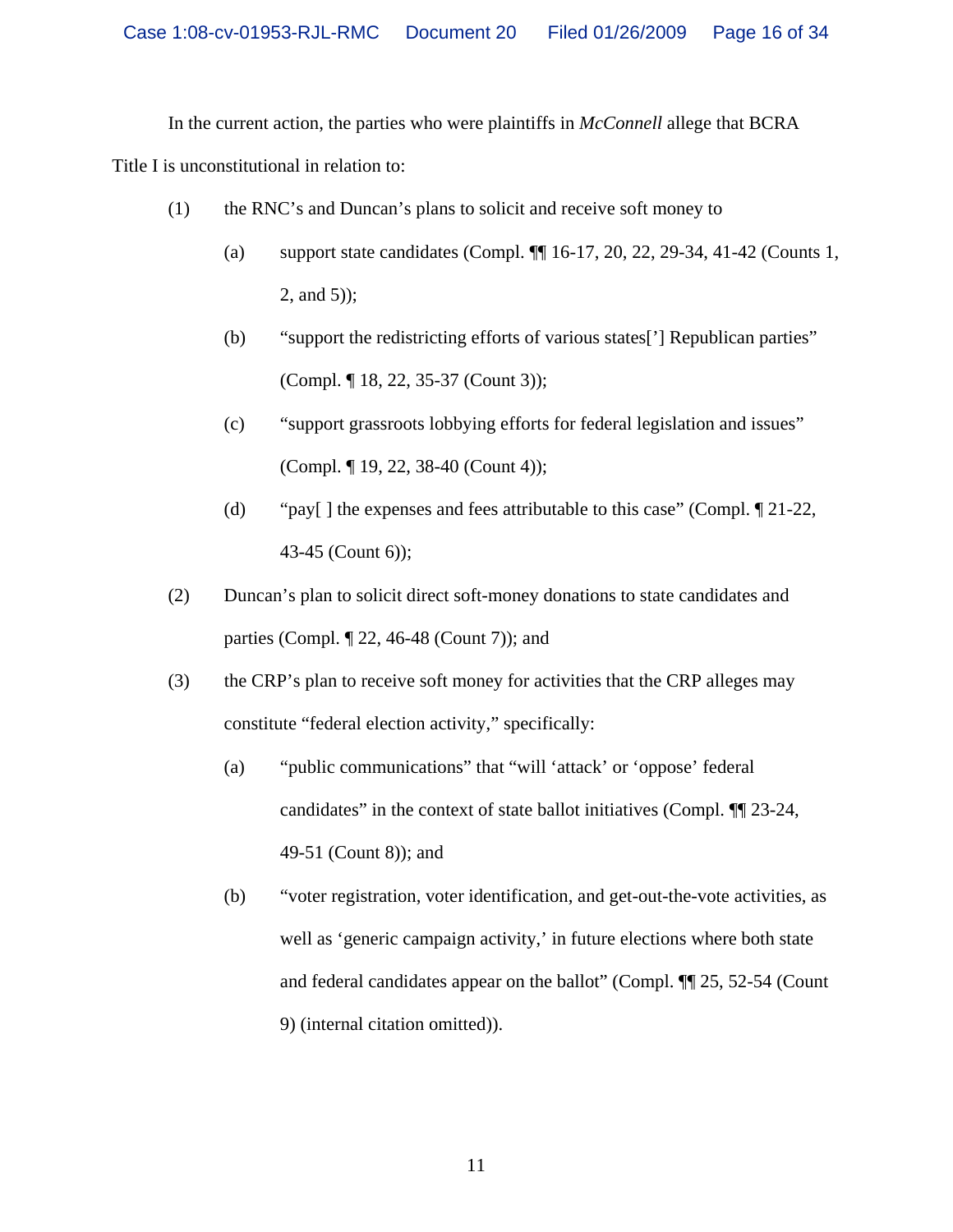In the current action, the parties who were plaintiffs in *McConnell* allege that BCRA

Title I is unconstitutional in relation to:

- (1) the RNC's and Duncan's plans to solicit and receive soft money to
	- (a) support state candidates (Compl. ¶¶ 16-17, 20, 22, 29-34, 41-42 (Counts 1, 2, and 5));
	- (b) "support the redistricting efforts of various states['] Republican parties" (Compl. ¶ 18, 22, 35-37 (Count 3));
	- (c) "support grassroots lobbying efforts for federal legislation and issues" (Compl. ¶ 19, 22, 38-40 (Count 4));
	- (d) "pay[ ] the expenses and fees attributable to this case" (Compl. ¶ 21-22, 43-45 (Count 6));
- (2) Duncan's plan to solicit direct soft-money donations to state candidates and parties (Compl. ¶ 22, 46-48 (Count 7)); and
- (3) the CRP's plan to receive soft money for activities that the CRP alleges may constitute "federal election activity," specifically:
	- (a) "public communications" that "will 'attack' or 'oppose' federal candidates" in the context of state ballot initiatives (Compl. ¶¶ 23-24, 49-51 (Count 8)); and
	- (b) "voter registration, voter identification, and get-out-the-vote activities, as well as 'generic campaign activity,' in future elections where both state and federal candidates appear on the ballot" (Compl. ¶¶ 25, 52-54 (Count 9) (internal citation omitted)).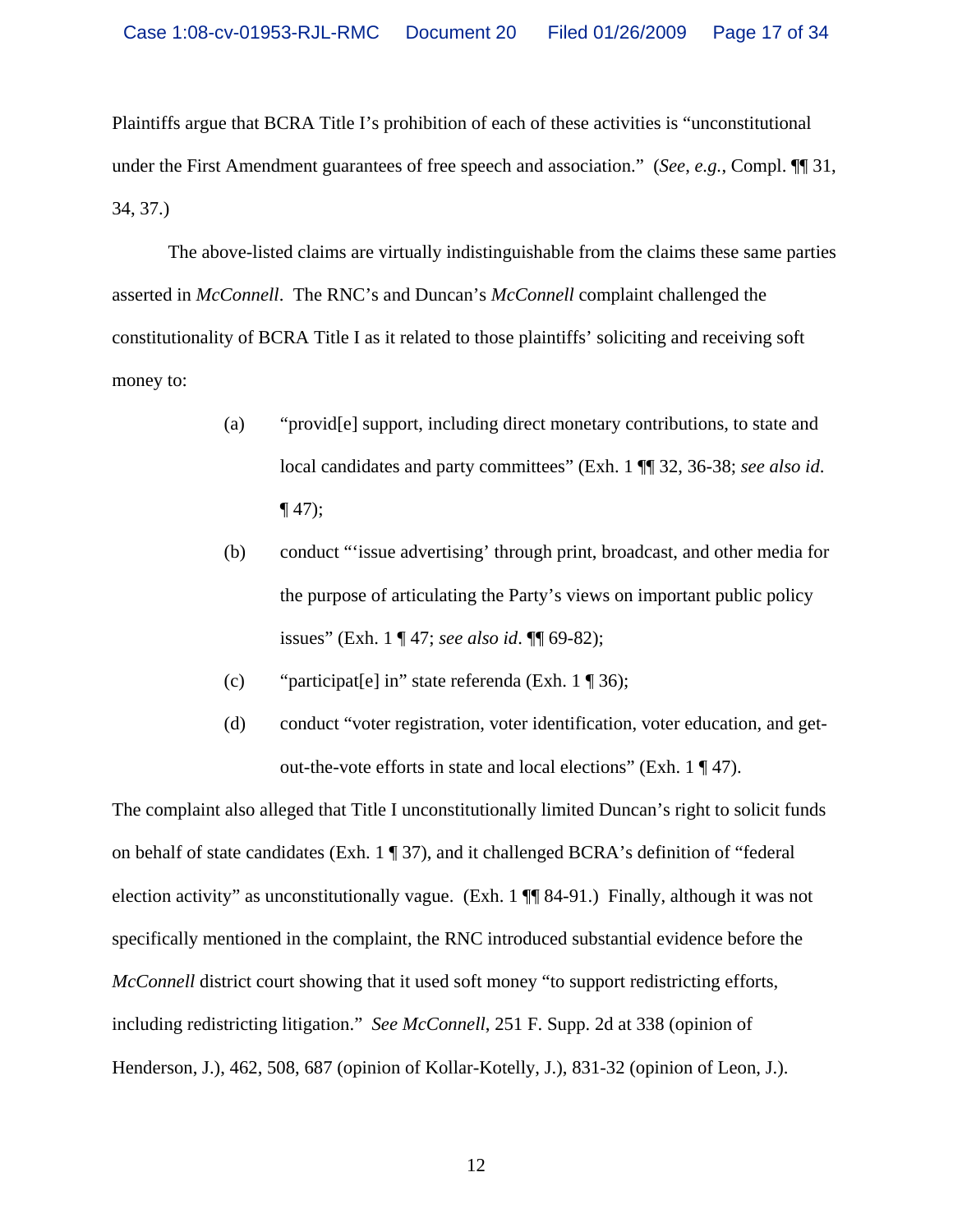Plaintiffs argue that BCRA Title I's prohibition of each of these activities is "unconstitutional under the First Amendment guarantees of free speech and association." (*See*, *e.g.*, Compl. ¶¶ 31, 34, 37.)

 The above-listed claims are virtually indistinguishable from the claims these same parties asserted in *McConnell*. The RNC's and Duncan's *McConnell* complaint challenged the constitutionality of BCRA Title I as it related to those plaintiffs' soliciting and receiving soft money to:

- (a) "provid[e] support, including direct monetary contributions, to state and local candidates and party committees" (Exh. 1 ¶¶ 32, 36-38; *see also id*.  $\P(47);$
- (b) conduct "'issue advertising' through print, broadcast, and other media for the purpose of articulating the Party's views on important public policy issues" (Exh. 1 ¶ 47; *see also id*. ¶¶ 69-82);
- (c) "participat[e] in" state referenda (Exh. 1 ¶ 36);
- (d) conduct "voter registration, voter identification, voter education, and getout-the-vote efforts in state and local elections" (Exh. 1 ¶ 47).

The complaint also alleged that Title I unconstitutionally limited Duncan's right to solicit funds on behalf of state candidates (Exh. 1 ¶ 37), and it challenged BCRA's definition of "federal election activity" as unconstitutionally vague. (Exh. 1 ¶¶ 84-91.) Finally, although it was not specifically mentioned in the complaint, the RNC introduced substantial evidence before the *McConnell* district court showing that it used soft money "to support redistricting efforts, including redistricting litigation." *See McConnell*, 251 F. Supp. 2d at 338 (opinion of Henderson, J.), 462, 508, 687 (opinion of Kollar-Kotelly, J.), 831-32 (opinion of Leon, J.).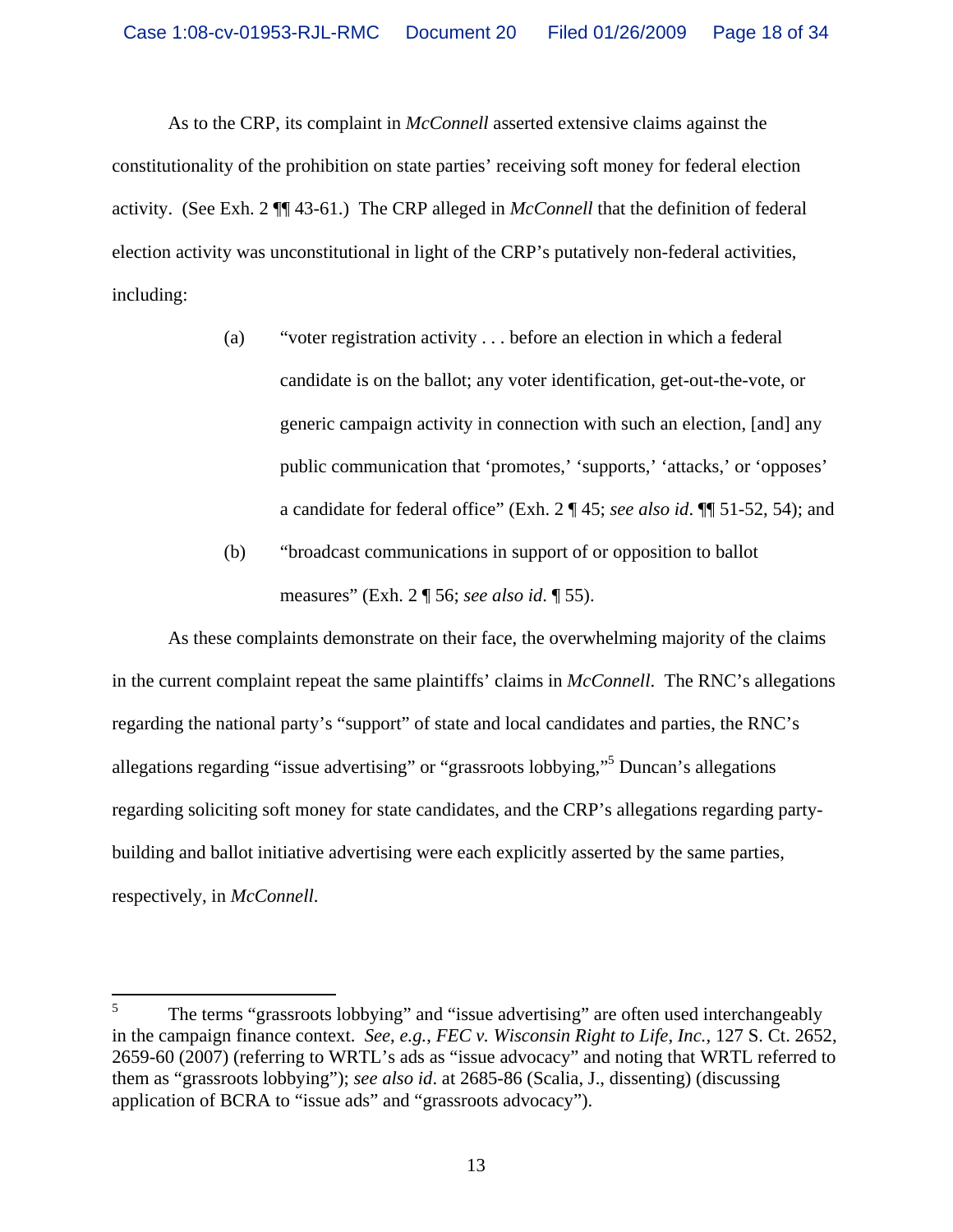As to the CRP, its complaint in *McConnell* asserted extensive claims against the constitutionality of the prohibition on state parties' receiving soft money for federal election activity. (See Exh. 2 ¶¶ 43-61.) The CRP alleged in *McConnell* that the definition of federal election activity was unconstitutional in light of the CRP's putatively non-federal activities, including:

- (a) "voter registration activity . . . before an election in which a federal candidate is on the ballot; any voter identification, get-out-the-vote, or generic campaign activity in connection with such an election, [and] any public communication that 'promotes,' 'supports,' 'attacks,' or 'opposes' a candidate for federal office" (Exh. 2 ¶ 45; *see also id*. ¶¶ 51-52, 54); and
- (b) "broadcast communications in support of or opposition to ballot measures" (Exh. 2 ¶ 56; *see also id*. ¶ 55).

As these complaints demonstrate on their face, the overwhelming majority of the claims in the current complaint repeat the same plaintiffs' claims in *McConnell*. The RNC's allegations regarding the national party's "support" of state and local candidates and parties, the RNC's allegations regarding "issue advertising" or "grassroots lobbying,"5 Duncan's allegations regarding soliciting soft money for state candidates, and the CRP's allegations regarding partybuilding and ballot initiative advertising were each explicitly asserted by the same parties, respectively, in *McConnell*.

 5 The terms "grassroots lobbying" and "issue advertising" are often used interchangeably in the campaign finance context. *See*, *e.g.*, *FEC v. Wisconsin Right to Life*, *Inc.,* 127 S. Ct. 2652, 2659-60 (2007) (referring to WRTL's ads as "issue advocacy" and noting that WRTL referred to them as "grassroots lobbying"); *see also id*. at 2685-86 (Scalia, J., dissenting) (discussing application of BCRA to "issue ads" and "grassroots advocacy").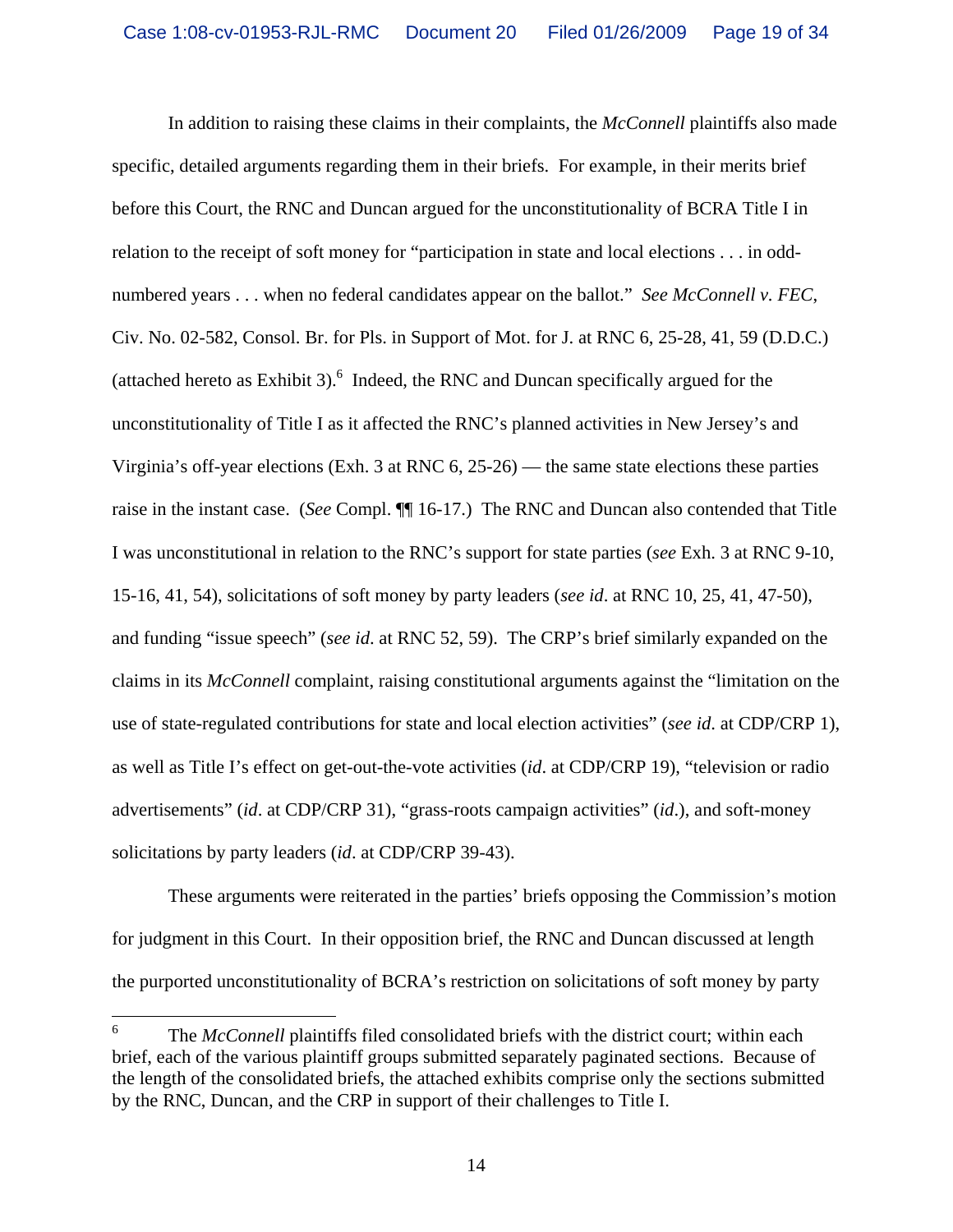In addition to raising these claims in their complaints, the *McConnell* plaintiffs also made specific, detailed arguments regarding them in their briefs. For example, in their merits brief before this Court, the RNC and Duncan argued for the unconstitutionality of BCRA Title I in relation to the receipt of soft money for "participation in state and local elections . . . in oddnumbered years . . . when no federal candidates appear on the ballot." *See McConnell v. FEC*, Civ. No. 02-582, Consol. Br. for Pls. in Support of Mot. for J. at RNC 6, 25-28, 41, 59 (D.D.C.) (attached hereto as Exhibit 3). $<sup>6</sup>$  Indeed, the RNC and Duncan specifically argued for the</sup> unconstitutionality of Title I as it affected the RNC's planned activities in New Jersey's and Virginia's off-year elections (Exh. 3 at RNC 6, 25-26) — the same state elections these parties raise in the instant case. (*See* Compl. ¶¶ 16-17.) The RNC and Duncan also contended that Title I was unconstitutional in relation to the RNC's support for state parties (*see* Exh. 3 at RNC 9-10, 15-16, 41, 54), solicitations of soft money by party leaders (*see id*. at RNC 10, 25, 41, 47-50), and funding "issue speech" (*see id*. at RNC 52, 59). The CRP's brief similarly expanded on the claims in its *McConnell* complaint, raising constitutional arguments against the "limitation on the use of state-regulated contributions for state and local election activities" (*see id*. at CDP/CRP 1), as well as Title I's effect on get-out-the-vote activities (*id*. at CDP/CRP 19), "television or radio advertisements" (*id*. at CDP/CRP 31), "grass-roots campaign activities" (*id*.), and soft-money solicitations by party leaders (*id*. at CDP/CRP 39-43).

These arguments were reiterated in the parties' briefs opposing the Commission's motion for judgment in this Court. In their opposition brief, the RNC and Duncan discussed at length the purported unconstitutionality of BCRA's restriction on solicitations of soft money by party

 6 The *McConnell* plaintiffs filed consolidated briefs with the district court; within each brief, each of the various plaintiff groups submitted separately paginated sections. Because of the length of the consolidated briefs, the attached exhibits comprise only the sections submitted by the RNC, Duncan, and the CRP in support of their challenges to Title I.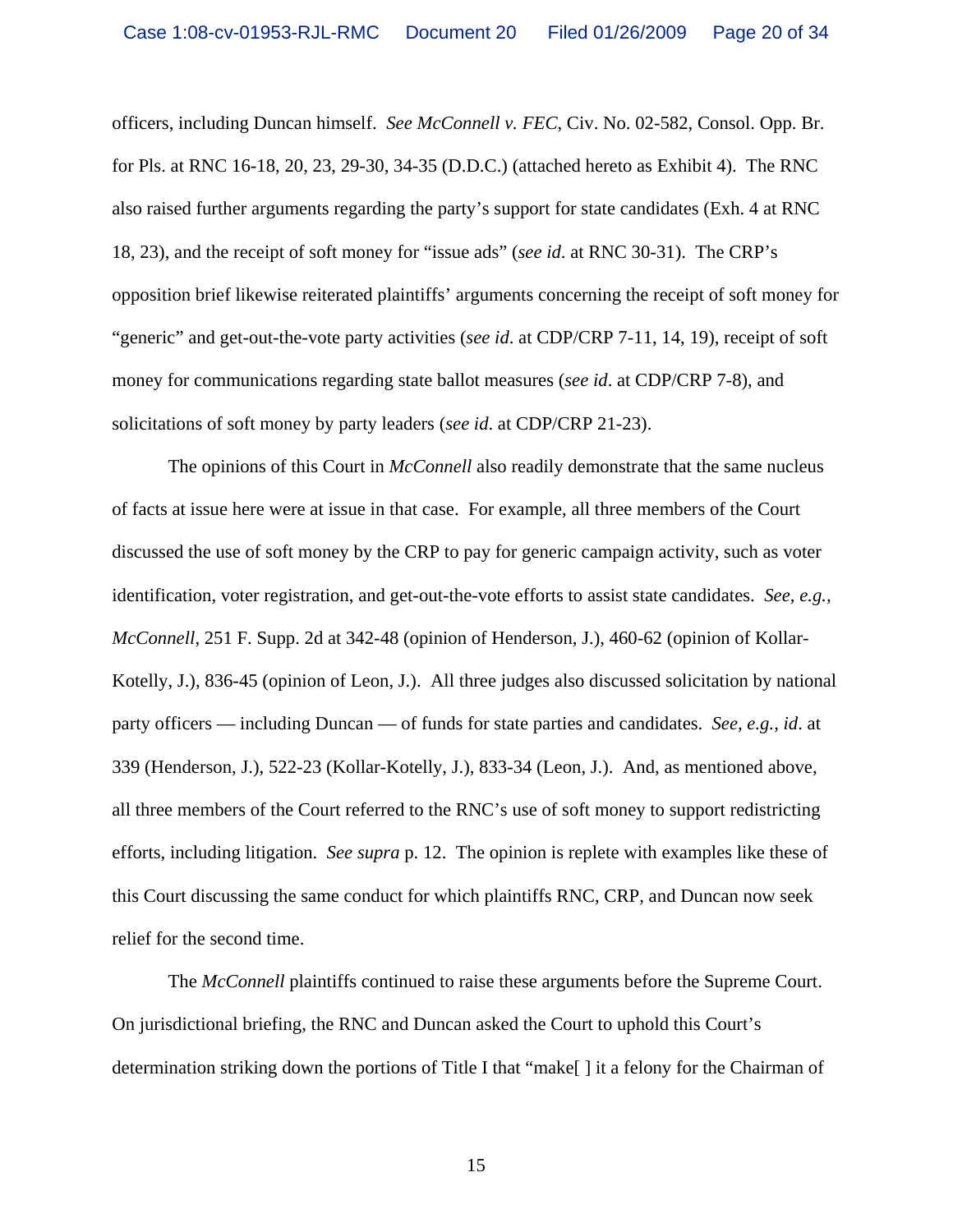officers, including Duncan himself.*See McConnell v. FEC*, Civ. No. 02-582, Consol. Opp. Br. for Pls. at RNC 16-18, 20, 23, 29-30, 34-35 (D.D.C.) (attached hereto as Exhibit 4). The RNC also raised further arguments regarding the party's support for state candidates (Exh. 4 at RNC 18, 23), and the receipt of soft money for "issue ads" (*see id*. at RNC 30-31). The CRP's opposition brief likewise reiterated plaintiffs' arguments concerning the receipt of soft money for "generic" and get-out-the-vote party activities (*see id*. at CDP/CRP 7-11, 14, 19), receipt of soft money for communications regarding state ballot measures (*see id*. at CDP/CRP 7-8), and solicitations of soft money by party leaders (*see id*. at CDP/CRP 21-23).

The opinions of this Court in *McConnell* also readily demonstrate that the same nucleus of facts at issue here were at issue in that case. For example, all three members of the Court discussed the use of soft money by the CRP to pay for generic campaign activity, such as voter identification, voter registration, and get-out-the-vote efforts to assist state candidates. *See, e.g., McConnell*, 251 F. Supp. 2d at 342-48 (opinion of Henderson, J.), 460-62 (opinion of Kollar-Kotelly, J.), 836-45 (opinion of Leon, J.). All three judges also discussed solicitation by national party officers — including Duncan — of funds for state parties and candidates. *See, e.g., id*. at 339 (Henderson, J.), 522-23 (Kollar-Kotelly, J.), 833-34 (Leon, J.). And, as mentioned above, all three members of the Court referred to the RNC's use of soft money to support redistricting efforts, including litigation. *See supra* p. 12. The opinion is replete with examples like these of this Court discussing the same conduct for which plaintiffs RNC, CRP, and Duncan now seek relief for the second time.

The *McConnell* plaintiffs continued to raise these arguments before the Supreme Court. On jurisdictional briefing, the RNC and Duncan asked the Court to uphold this Court's determination striking down the portions of Title I that "make[ ] it a felony for the Chairman of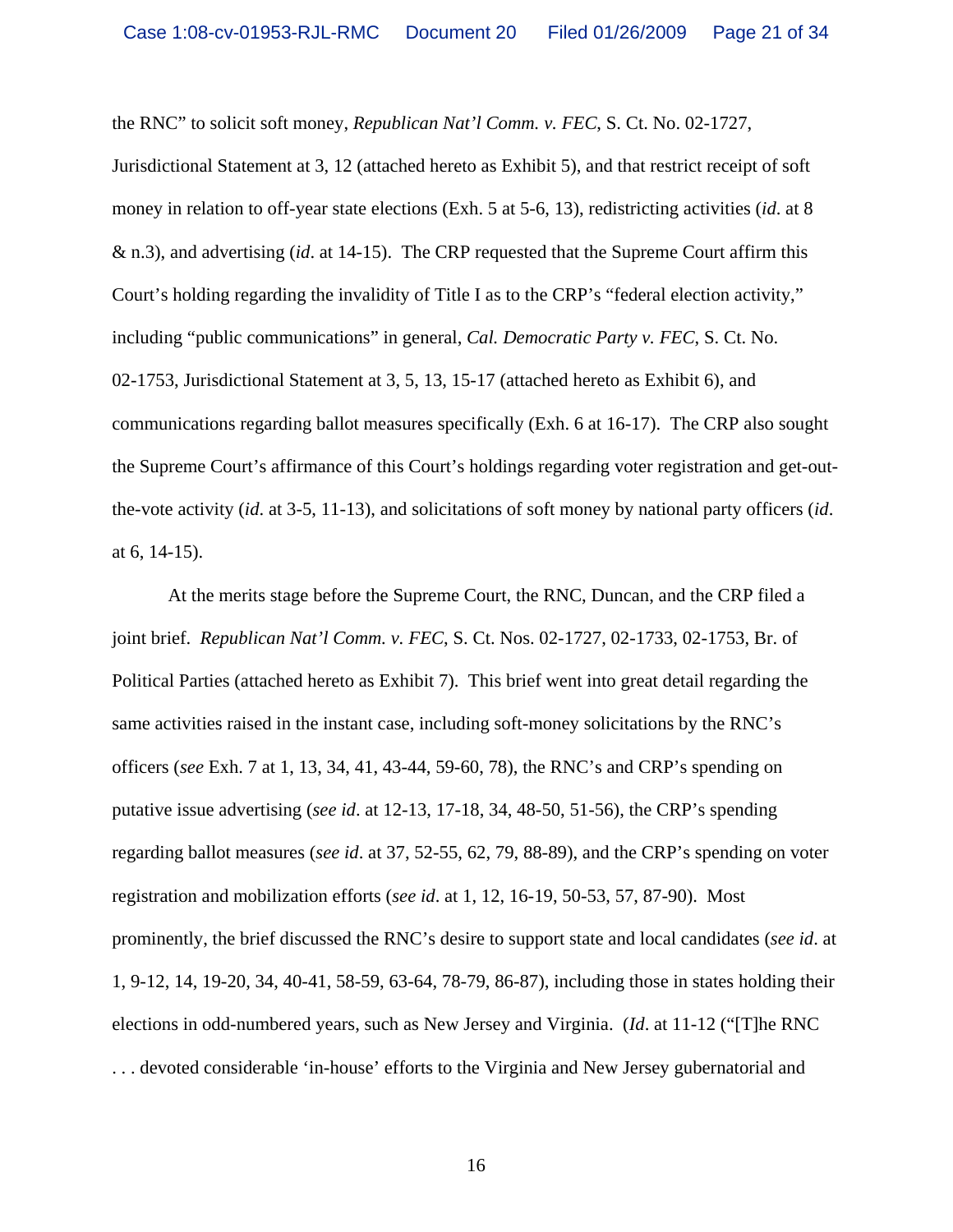the RNC" to solicit soft money, *Republican Nat'l Comm. v. FEC*, S. Ct. No. 02-1727,

Jurisdictional Statement at 3, 12 (attached hereto as Exhibit 5), and that restrict receipt of soft money in relation to off-year state elections (Exh. 5 at 5-6, 13), redistricting activities (*id*. at 8 & n.3), and advertising (*id*. at 14-15). The CRP requested that the Supreme Court affirm this Court's holding regarding the invalidity of Title I as to the CRP's "federal election activity," including "public communications" in general, *Cal. Democratic Party v. FEC*, S. Ct. No. 02-1753, Jurisdictional Statement at 3, 5, 13, 15-17 (attached hereto as Exhibit 6), and communications regarding ballot measures specifically (Exh. 6 at 16-17). The CRP also sought the Supreme Court's affirmance of this Court's holdings regarding voter registration and get-outthe-vote activity (*id*. at 3-5, 11-13), and solicitations of soft money by national party officers (*id*. at 6, 14-15).

At the merits stage before the Supreme Court, the RNC, Duncan, and the CRP filed a joint brief. *Republican Nat'l Comm. v. FEC*, S. Ct. Nos. 02-1727, 02-1733, 02-1753, Br. of Political Parties (attached hereto as Exhibit 7). This brief went into great detail regarding the same activities raised in the instant case, including soft-money solicitations by the RNC's officers (*see* Exh. 7 at 1, 13, 34, 41, 43-44, 59-60, 78), the RNC's and CRP's spending on putative issue advertising (*see id*. at 12-13, 17-18, 34, 48-50, 51-56), the CRP's spending regarding ballot measures (*see id*. at 37, 52-55, 62, 79, 88-89), and the CRP's spending on voter registration and mobilization efforts (*see id*. at 1, 12, 16-19, 50-53, 57, 87-90). Most prominently, the brief discussed the RNC's desire to support state and local candidates (*see id*. at 1, 9-12, 14, 19-20, 34, 40-41, 58-59, 63-64, 78-79, 86-87), including those in states holding their elections in odd-numbered years, such as New Jersey and Virginia. (*Id*. at 11-12 ("[T]he RNC . . . devoted considerable 'in-house' efforts to the Virginia and New Jersey gubernatorial and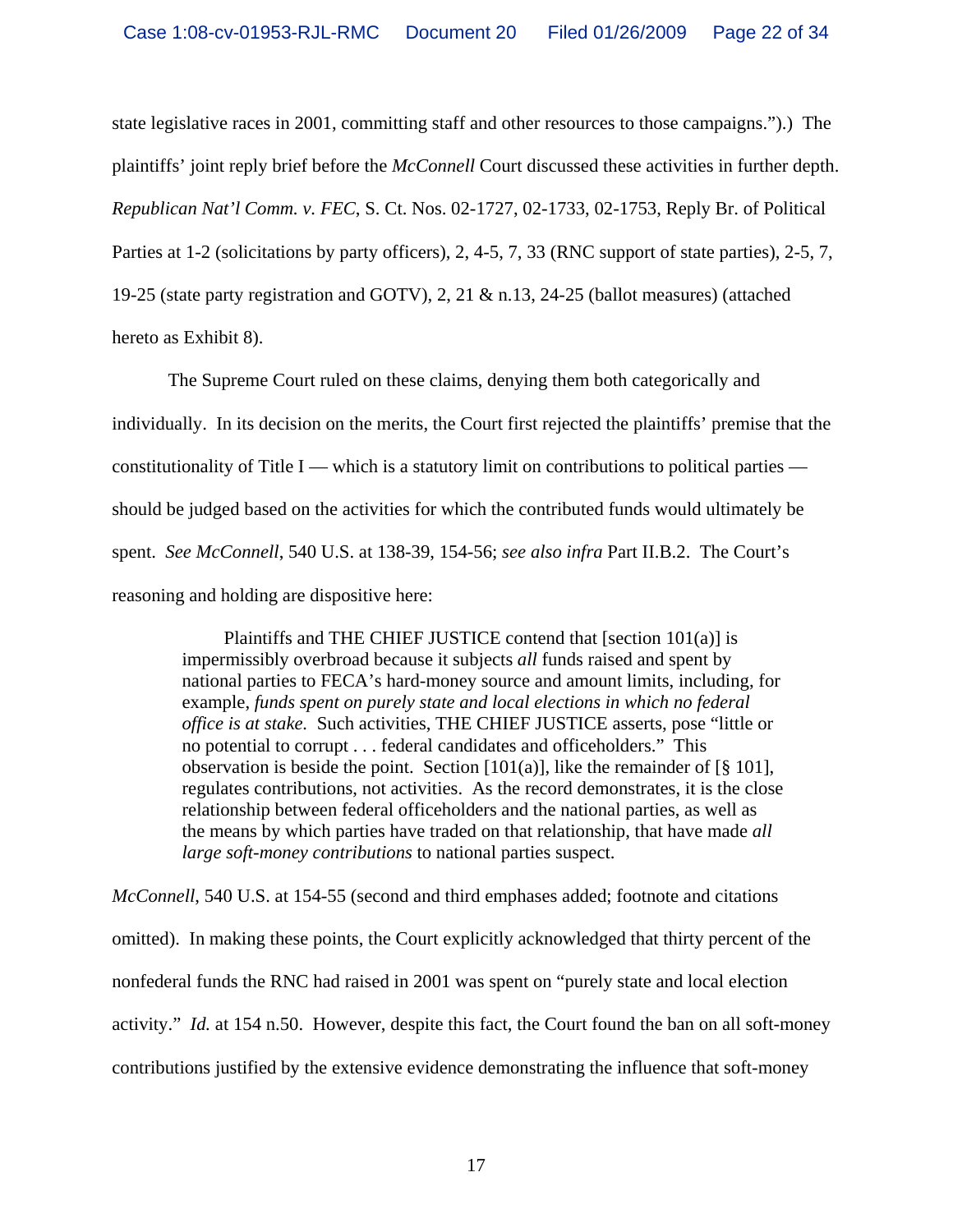state legislative races in 2001, committing staff and other resources to those campaigns.").) The plaintiffs' joint reply brief before the *McConnell* Court discussed these activities in further depth. *Republican Nat'l Comm. v. FEC*, S. Ct. Nos. 02-1727, 02-1733, 02-1753, Reply Br. of Political Parties at 1-2 (solicitations by party officers), 2, 4-5, 7, 33 (RNC support of state parties), 2-5, 7, 19-25 (state party registration and GOTV), 2, 21 & n.13, 24-25 (ballot measures) (attached hereto as Exhibit 8).

The Supreme Court ruled on these claims, denying them both categorically and individually. In its decision on the merits, the Court first rejected the plaintiffs' premise that the constitutionality of Title I — which is a statutory limit on contributions to political parties should be judged based on the activities for which the contributed funds would ultimately be spent. *See McConnell*, 540 U.S. at 138-39, 154-56; *see also infra* Part II.B.2. The Court's reasoning and holding are dispositive here:

 Plaintiffs and THE CHIEF JUSTICE contend that [section 101(a)] is impermissibly overbroad because it subjects *all* funds raised and spent by national parties to FECA's hard-money source and amount limits, including, for example, *funds spent on purely state and local elections in which no federal office is at stake.* Such activities, THE CHIEF JUSTICE asserts, pose "little or no potential to corrupt . . . federal candidates and officeholders." This observation is beside the point. Section [101(a)], like the remainder of [§ 101], regulates contributions, not activities. As the record demonstrates, it is the close relationship between federal officeholders and the national parties, as well as the means by which parties have traded on that relationship, that have made *all large soft-money contributions* to national parties suspect.

*McConnell*, 540 U.S. at 154-55 (second and third emphases added; footnote and citations omitted). In making these points, the Court explicitly acknowledged that thirty percent of the nonfederal funds the RNC had raised in 2001 was spent on "purely state and local election activity." *Id.* at 154 n.50. However, despite this fact, the Court found the ban on all soft-money contributions justified by the extensive evidence demonstrating the influence that soft-money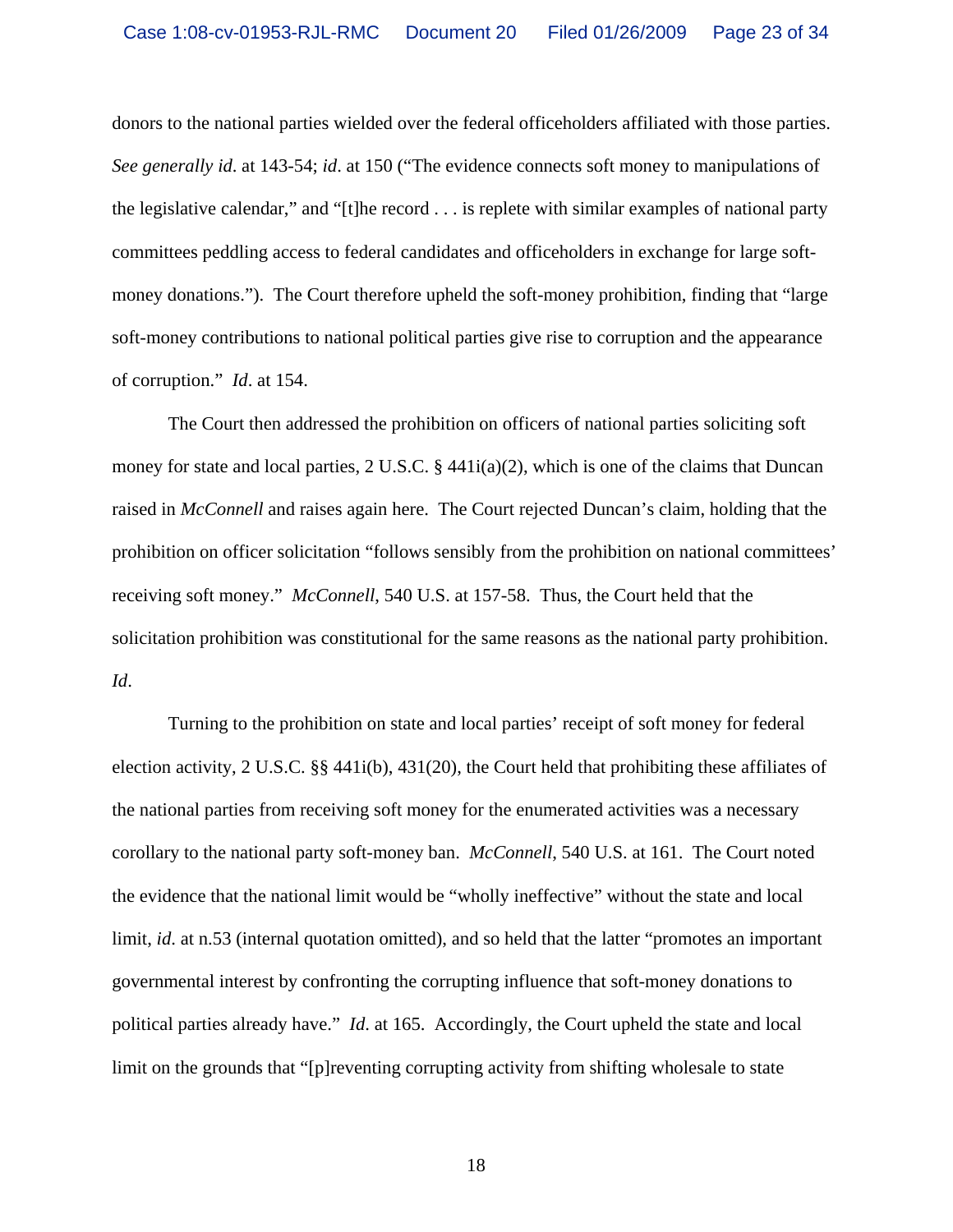donors to the national parties wielded over the federal officeholders affiliated with those parties. *See generally id*. at 143-54; *id*. at 150 ("The evidence connects soft money to manipulations of the legislative calendar," and "[t]he record . . . is replete with similar examples of national party committees peddling access to federal candidates and officeholders in exchange for large softmoney donations."). The Court therefore upheld the soft-money prohibition, finding that "large soft-money contributions to national political parties give rise to corruption and the appearance of corruption." *Id*. at 154.

The Court then addressed the prohibition on officers of national parties soliciting soft money for state and local parties, 2 U.S.C. § 441i(a)(2), which is one of the claims that Duncan raised in *McConnell* and raises again here. The Court rejected Duncan's claim, holding that the prohibition on officer solicitation "follows sensibly from the prohibition on national committees' receiving soft money." *McConnell*, 540 U.S. at 157-58. Thus, the Court held that the solicitation prohibition was constitutional for the same reasons as the national party prohibition. *Id*.

Turning to the prohibition on state and local parties' receipt of soft money for federal election activity, 2 U.S.C. §§ 441i(b), 431(20), the Court held that prohibiting these affiliates of the national parties from receiving soft money for the enumerated activities was a necessary corollary to the national party soft-money ban. *McConnell*, 540 U.S. at 161. The Court noted the evidence that the national limit would be "wholly ineffective" without the state and local limit, *id*. at n.53 (internal quotation omitted), and so held that the latter "promotes an important governmental interest by confronting the corrupting influence that soft-money donations to political parties already have." *Id*. at 165. Accordingly, the Court upheld the state and local limit on the grounds that "[p]reventing corrupting activity from shifting wholesale to state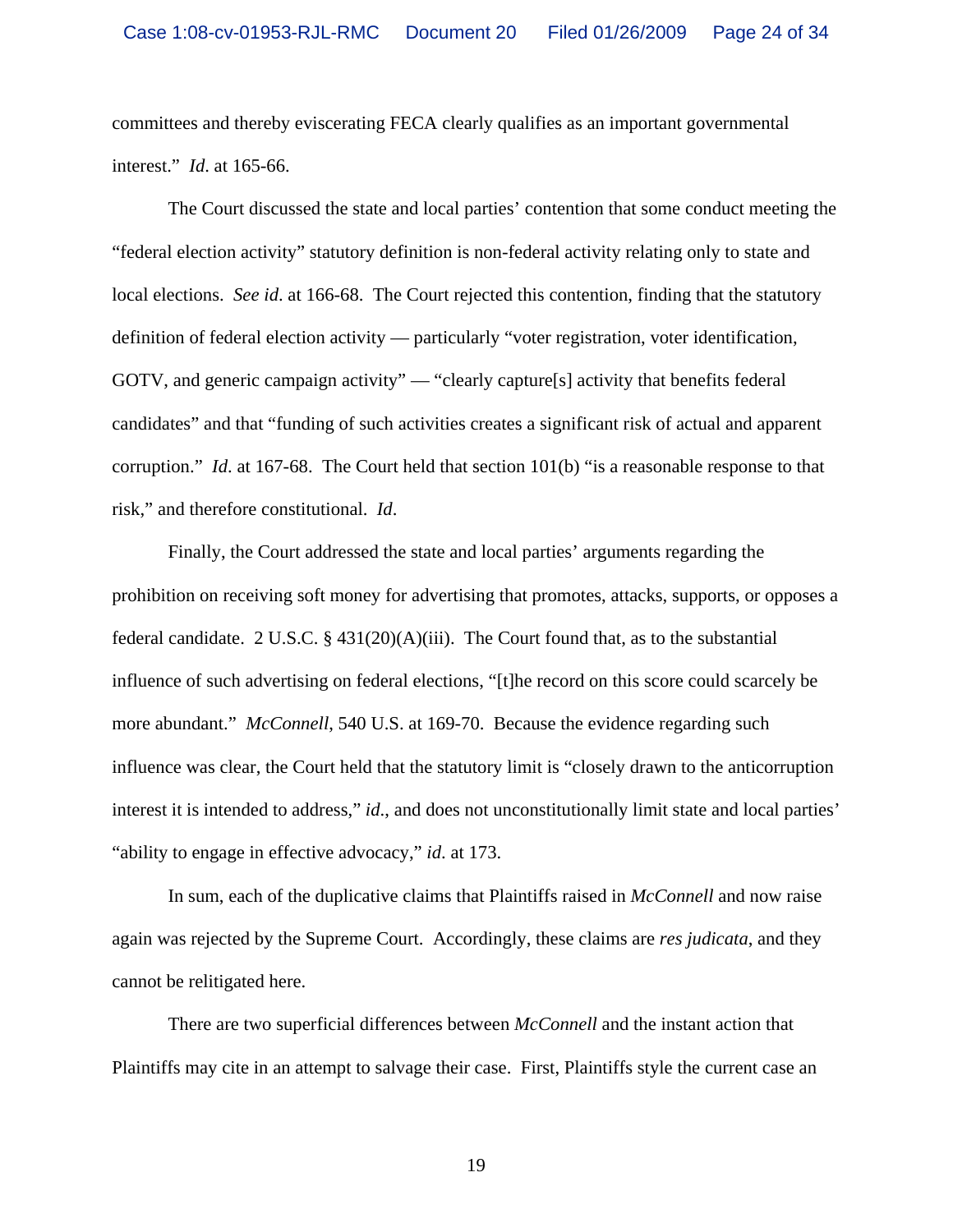committees and thereby eviscerating FECA clearly qualifies as an important governmental interest." *Id*. at 165-66.

The Court discussed the state and local parties' contention that some conduct meeting the "federal election activity" statutory definition is non-federal activity relating only to state and local elections. *See id*. at 166-68. The Court rejected this contention, finding that the statutory definition of federal election activity — particularly "voter registration, voter identification, GOTV, and generic campaign activity" — "clearly capture[s] activity that benefits federal candidates" and that "funding of such activities creates a significant risk of actual and apparent corruption." *Id*. at 167-68. The Court held that section 101(b) "is a reasonable response to that risk," and therefore constitutional. *Id*.

Finally, the Court addressed the state and local parties' arguments regarding the prohibition on receiving soft money for advertising that promotes, attacks, supports, or opposes a federal candidate. 2 U.S.C. § 431(20)(A)(iii). The Court found that, as to the substantial influence of such advertising on federal elections, "[t]he record on this score could scarcely be more abundant." *McConnell*, 540 U.S. at 169-70. Because the evidence regarding such influence was clear, the Court held that the statutory limit is "closely drawn to the anticorruption interest it is intended to address," *id*., and does not unconstitutionally limit state and local parties' "ability to engage in effective advocacy," *id*. at 173.

In sum, each of the duplicative claims that Plaintiffs raised in *McConnell* and now raise again was rejected by the Supreme Court. Accordingly, these claims are *res judicata*, and they cannot be relitigated here.

There are two superficial differences between *McConnell* and the instant action that Plaintiffs may cite in an attempt to salvage their case. First, Plaintiffs style the current case an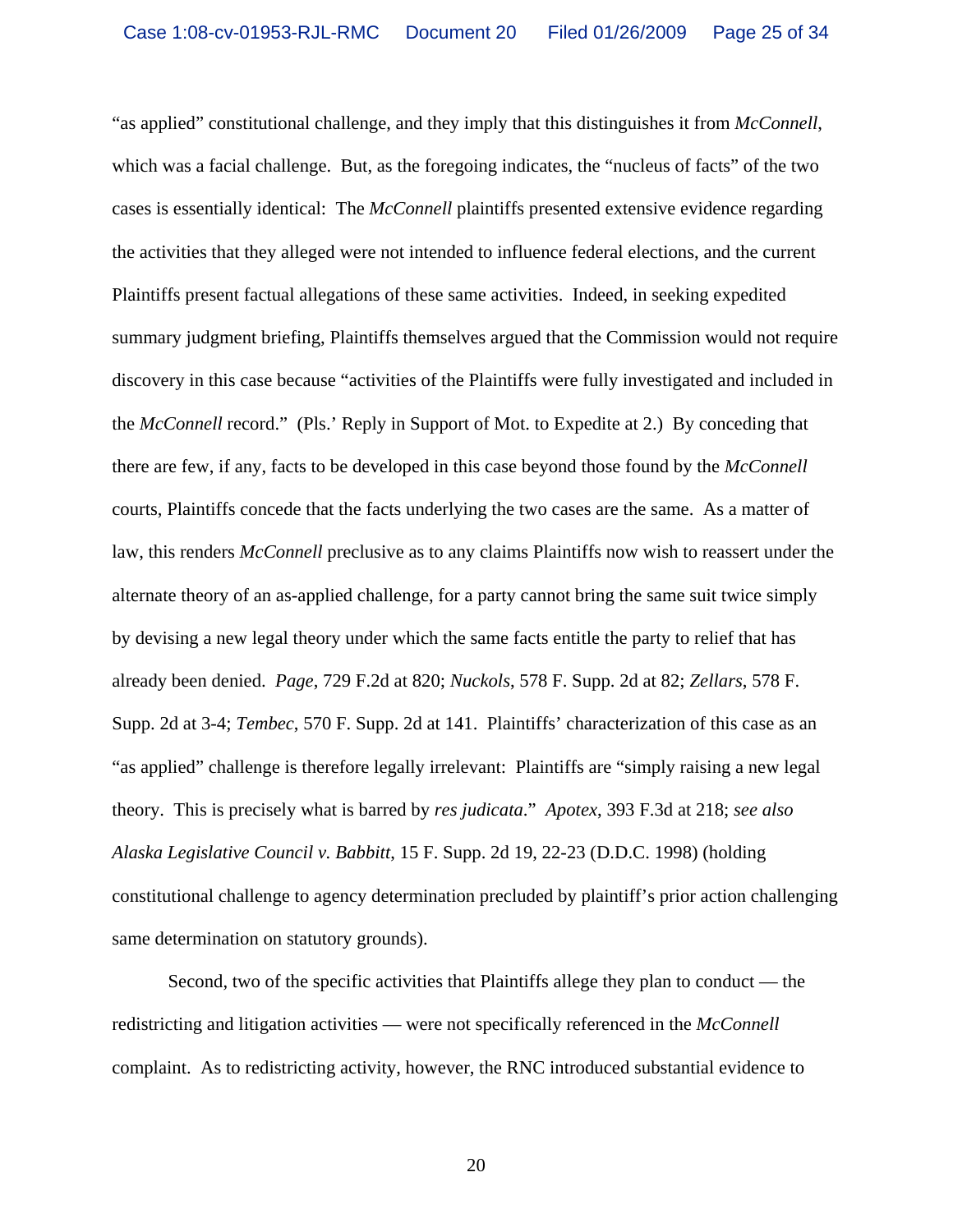"as applied" constitutional challenge, and they imply that this distinguishes it from *McConnell*, which was a facial challenge. But, as the foregoing indicates, the "nucleus of facts" of the two cases is essentially identical: The *McConnell* plaintiffs presented extensive evidence regarding the activities that they alleged were not intended to influence federal elections, and the current Plaintiffs present factual allegations of these same activities. Indeed, in seeking expedited summary judgment briefing, Plaintiffs themselves argued that the Commission would not require discovery in this case because "activities of the Plaintiffs were fully investigated and included in the *McConnell* record." (Pls.' Reply in Support of Mot. to Expedite at 2.) By conceding that there are few, if any, facts to be developed in this case beyond those found by the *McConnell* courts, Plaintiffs concede that the facts underlying the two cases are the same. As a matter of law, this renders *McConnell* preclusive as to any claims Plaintiffs now wish to reassert under the alternate theory of an as-applied challenge, for a party cannot bring the same suit twice simply by devising a new legal theory under which the same facts entitle the party to relief that has already been denied. *Page*, 729 F.2d at 820; *Nuckols*, 578 F. Supp. 2d at 82; *Zellars*, 578 F. Supp. 2d at 3-4; *Tembec*, 570 F. Supp. 2d at 141. Plaintiffs' characterization of this case as an "as applied" challenge is therefore legally irrelevant: Plaintiffs are "simply raising a new legal theory. This is precisely what is barred by *res judicata*." *Apotex*, 393 F.3d at 218; *see also Alaska Legislative Council v. Babbitt*, 15 F. Supp. 2d 19, 22-23 (D.D.C. 1998) (holding constitutional challenge to agency determination precluded by plaintiff's prior action challenging same determination on statutory grounds).

Second, two of the specific activities that Plaintiffs allege they plan to conduct — the redistricting and litigation activities — were not specifically referenced in the *McConnell* complaint. As to redistricting activity, however, the RNC introduced substantial evidence to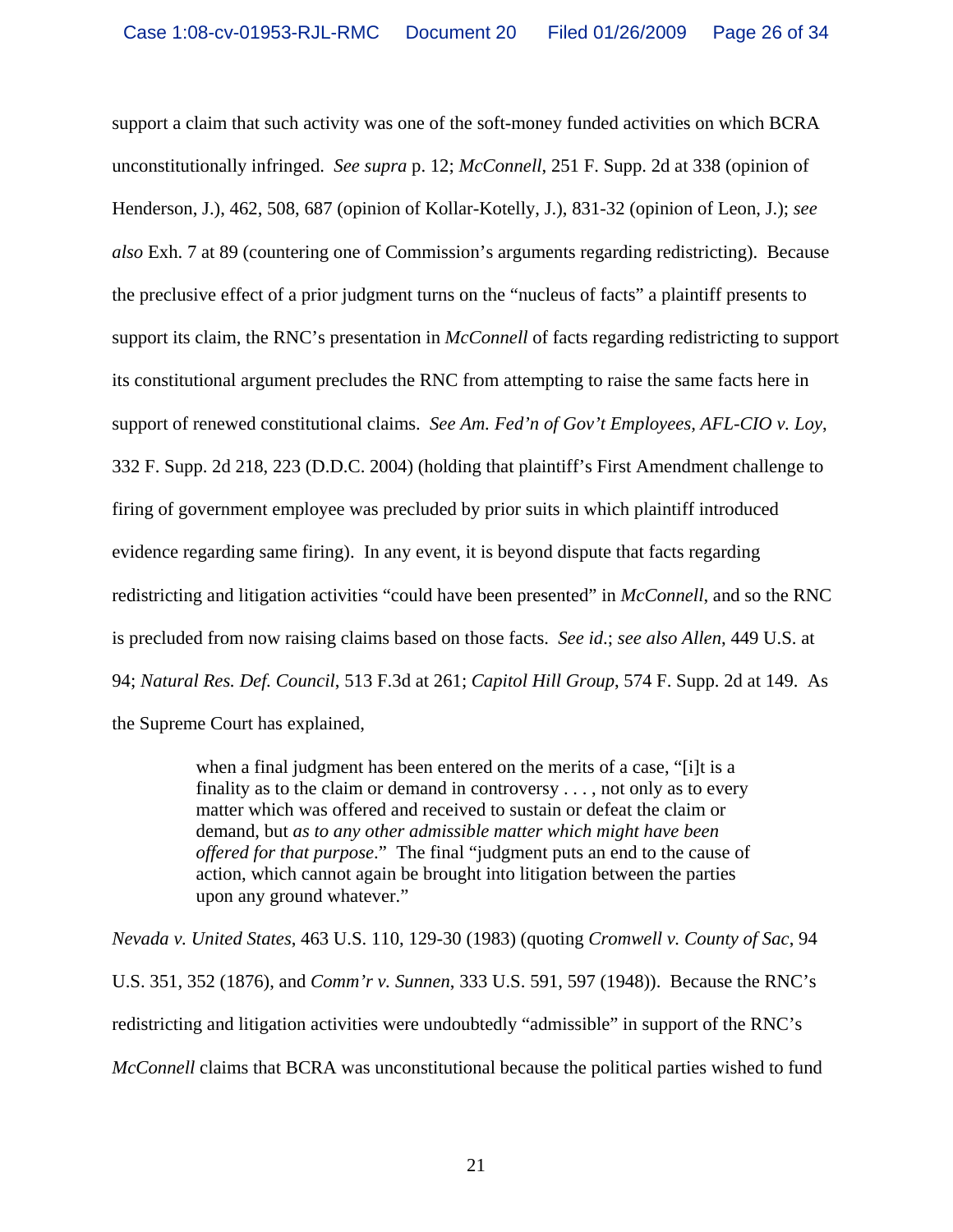support a claim that such activity was one of the soft-money funded activities on which BCRA unconstitutionally infringed. *See supra* p. 12; *McConnell*, 251 F. Supp. 2d at 338 (opinion of Henderson, J.), 462, 508, 687 (opinion of Kollar-Kotelly, J.), 831-32 (opinion of Leon, J.); *see also* Exh. 7 at 89 (countering one of Commission's arguments regarding redistricting). Because the preclusive effect of a prior judgment turns on the "nucleus of facts" a plaintiff presents to support its claim, the RNC's presentation in *McConnell* of facts regarding redistricting to support its constitutional argument precludes the RNC from attempting to raise the same facts here in support of renewed constitutional claims. *See Am. Fed'n of Gov't Employees, AFL-CIO v. Loy*, 332 F. Supp. 2d 218, 223 (D.D.C. 2004) (holding that plaintiff's First Amendment challenge to firing of government employee was precluded by prior suits in which plaintiff introduced evidence regarding same firing). In any event, it is beyond dispute that facts regarding redistricting and litigation activities "could have been presented" in *McConnell*, and so the RNC is precluded from now raising claims based on those facts. *See id*.; *see also Allen*, 449 U.S. at 94; *Natural Res. Def. Council*, 513 F.3d at 261; *Capitol Hill Group*, 574 F. Supp. 2d at 149. As the Supreme Court has explained,

> when a final judgment has been entered on the merits of a case, "[i]t is a finality as to the claim or demand in controversy . . . , not only as to every matter which was offered and received to sustain or defeat the claim or demand, but *as to any other admissible matter which might have been offered for that purpose*." The final "judgment puts an end to the cause of action, which cannot again be brought into litigation between the parties upon any ground whatever."

*Nevada v. United States*, 463 U.S. 110, 129-30 (1983) (quoting *Cromwell v. County of Sac*, 94 U.S. 351, 352 (1876), and *Comm'r v. Sunnen*, 333 U.S. 591, 597 (1948)). Because the RNC's redistricting and litigation activities were undoubtedly "admissible" in support of the RNC's *McConnell* claims that BCRA was unconstitutional because the political parties wished to fund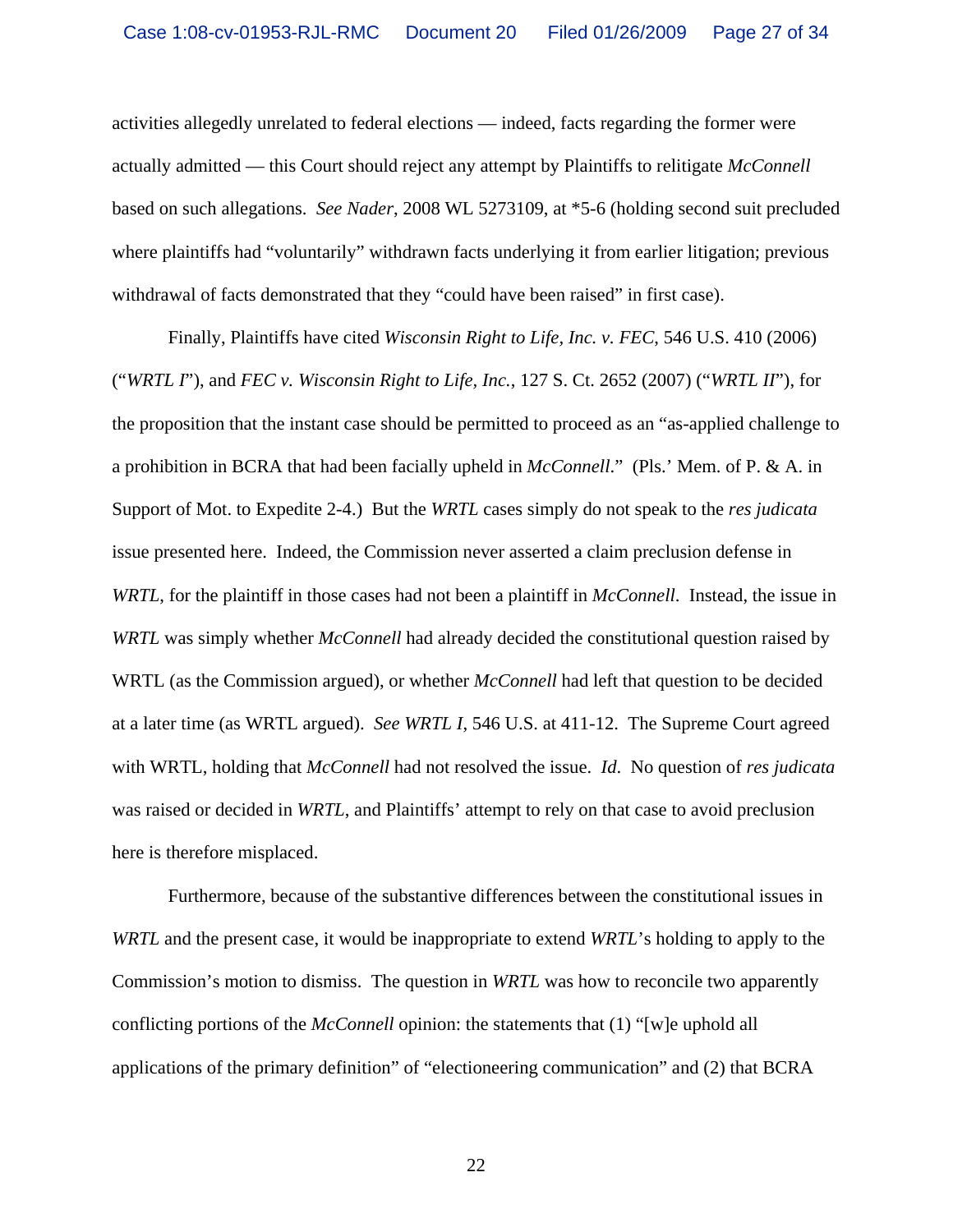activities allegedly unrelated to federal elections — indeed, facts regarding the former were actually admitted — this Court should reject any attempt by Plaintiffs to relitigate *McConnell* based on such allegations. *See Nader*, 2008 WL 5273109, at \*5-6 (holding second suit precluded where plaintiffs had "voluntarily" withdrawn facts underlying it from earlier litigation; previous withdrawal of facts demonstrated that they "could have been raised" in first case).

Finally, Plaintiffs have cited *Wisconsin Right to Life, Inc. v. FEC*, 546 U.S. 410 (2006) ("*WRTL I*"), and *FEC v. Wisconsin Right to Life, Inc.*, 127 S. Ct. 2652 (2007) ("*WRTL II*"), for the proposition that the instant case should be permitted to proceed as an "as-applied challenge to a prohibition in BCRA that had been facially upheld in *McConnell*." (Pls.' Mem. of P. & A. in Support of Mot. to Expedite 2-4.) But the *WRTL* cases simply do not speak to the *res judicata* issue presented here. Indeed, the Commission never asserted a claim preclusion defense in *WRTL*, for the plaintiff in those cases had not been a plaintiff in *McConnell*. Instead, the issue in *WRTL* was simply whether *McConnell* had already decided the constitutional question raised by WRTL (as the Commission argued), or whether *McConnell* had left that question to be decided at a later time (as WRTL argued). *See WRTL I*, 546 U.S. at 411-12. The Supreme Court agreed with WRTL, holding that *McConnell* had not resolved the issue. *Id*. No question of *res judicata* was raised or decided in *WRTL*, and Plaintiffs' attempt to rely on that case to avoid preclusion here is therefore misplaced.

Furthermore, because of the substantive differences between the constitutional issues in *WRTL* and the present case, it would be inappropriate to extend *WRTL*'s holding to apply to the Commission's motion to dismiss. The question in *WRTL* was how to reconcile two apparently conflicting portions of the *McConnell* opinion: the statements that (1) "[w]e uphold all applications of the primary definition" of "electioneering communication" and (2) that BCRA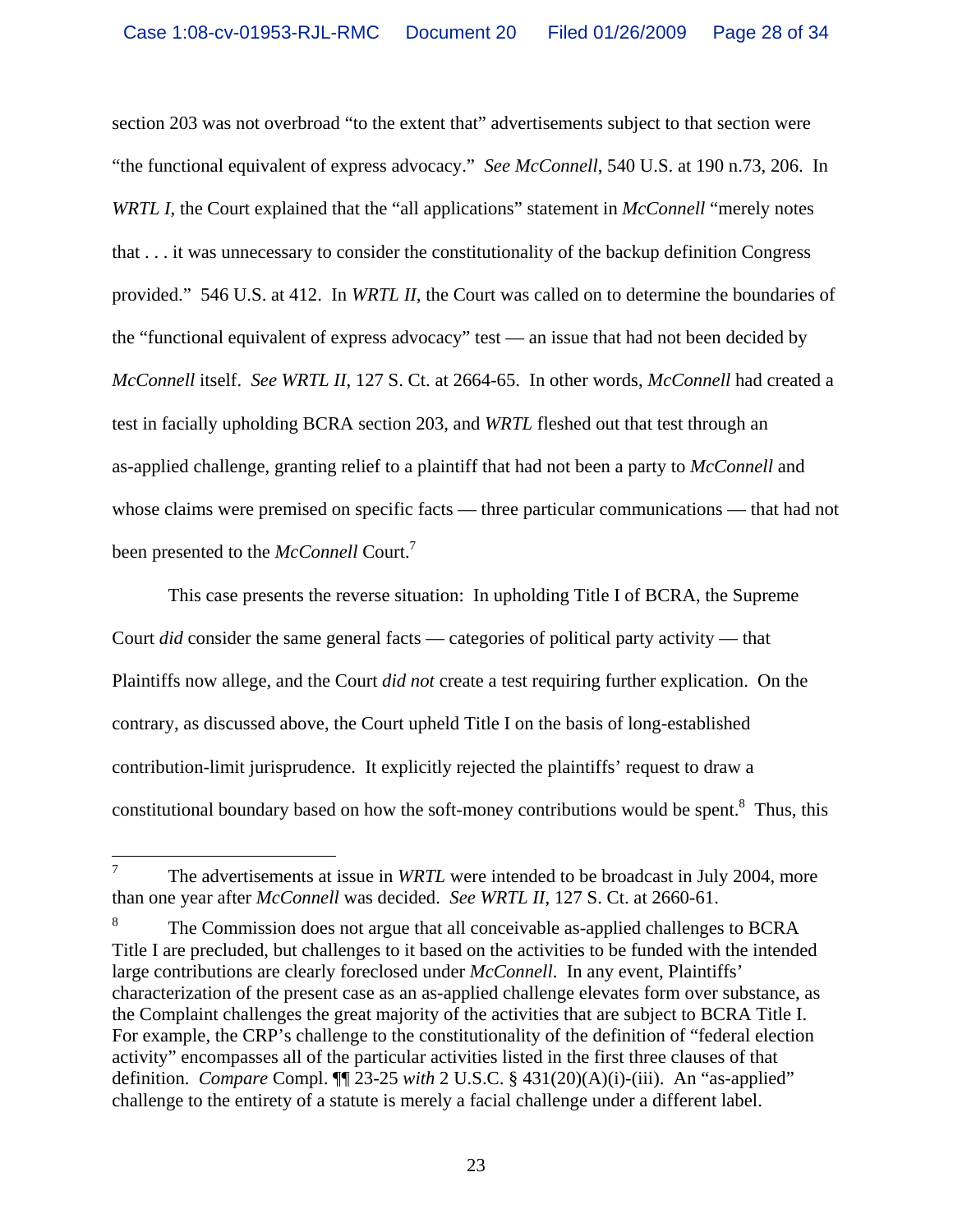section 203 was not overbroad "to the extent that" advertisements subject to that section were "the functional equivalent of express advocacy." *See McConnell*, 540 U.S. at 190 n.73, 206. In *WRTL I*, the Court explained that the "all applications" statement in *McConnell* "merely notes that . . . it was unnecessary to consider the constitutionality of the backup definition Congress provided." 546 U.S. at 412. In *WRTL II*, the Court was called on to determine the boundaries of the "functional equivalent of express advocacy" test — an issue that had not been decided by *McConnell* itself. *See WRTL II*, 127 S. Ct. at 2664-65. In other words, *McConnell* had created a test in facially upholding BCRA section 203, and *WRTL* fleshed out that test through an as-applied challenge, granting relief to a plaintiff that had not been a party to *McConnell* and whose claims were premised on specific facts — three particular communications — that had not been presented to the *McConnell* Court.7

This case presents the reverse situation: In upholding Title I of BCRA, the Supreme Court *did* consider the same general facts — categories of political party activity — that Plaintiffs now allege, and the Court *did not* create a test requiring further explication. On the contrary, as discussed above, the Court upheld Title I on the basis of long-established contribution-limit jurisprudence. It explicitly rejected the plaintiffs' request to draw a constitutional boundary based on how the soft-money contributions would be spent. $8$  Thus, this

 7 The advertisements at issue in *WRTL* were intended to be broadcast in July 2004, more than one year after *McConnell* was decided. *See WRTL II*, 127 S. Ct. at 2660-61.

<sup>8</sup> The Commission does not argue that all conceivable as-applied challenges to BCRA Title I are precluded, but challenges to it based on the activities to be funded with the intended large contributions are clearly foreclosed under *McConnell*. In any event, Plaintiffs' characterization of the present case as an as-applied challenge elevates form over substance, as the Complaint challenges the great majority of the activities that are subject to BCRA Title I. For example, the CRP's challenge to the constitutionality of the definition of "federal election activity" encompasses all of the particular activities listed in the first three clauses of that definition. *Compare* Compl. ¶¶ 23-25 *with* 2 U.S.C. § 431(20)(A)(i)-(iii). An "as-applied" challenge to the entirety of a statute is merely a facial challenge under a different label.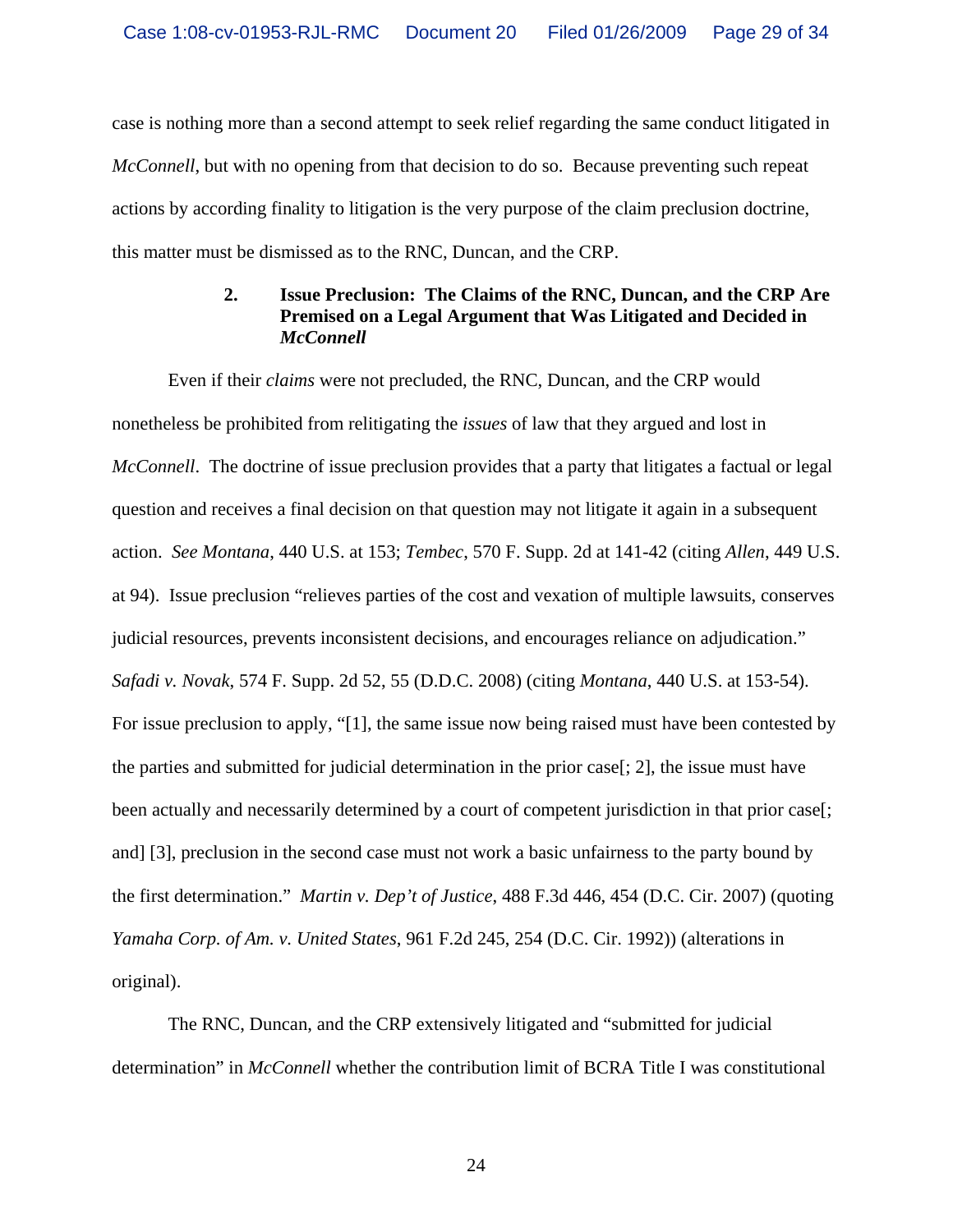case is nothing more than a second attempt to seek relief regarding the same conduct litigated in *McConnell*, but with no opening from that decision to do so. Because preventing such repeat actions by according finality to litigation is the very purpose of the claim preclusion doctrine, this matter must be dismissed as to the RNC, Duncan, and the CRP.

## **2. Issue Preclusion: The Claims of the RNC, Duncan, and the CRP Are Premised on a Legal Argument that Was Litigated and Decided in**  *McConnell*

Even if their *claims* were not precluded, the RNC, Duncan, and the CRP would nonetheless be prohibited from relitigating the *issues* of law that they argued and lost in *McConnell*. The doctrine of issue preclusion provides that a party that litigates a factual or legal question and receives a final decision on that question may not litigate it again in a subsequent action. *See Montana*, 440 U.S. at 153; *Tembec*, 570 F. Supp. 2d at 141-42 (citing *Allen*, 449 U.S. at 94). Issue preclusion "relieves parties of the cost and vexation of multiple lawsuits, conserves judicial resources, prevents inconsistent decisions, and encourages reliance on adjudication." *Safadi v. Novak*, 574 F. Supp. 2d 52, 55 (D.D.C. 2008) (citing *Montana*, 440 U.S. at 153-54). For issue preclusion to apply, "[1], the same issue now being raised must have been contested by the parties and submitted for judicial determination in the prior case[; 2], the issue must have been actually and necessarily determined by a court of competent jurisdiction in that prior case[; and] [3], preclusion in the second case must not work a basic unfairness to the party bound by the first determination." *Martin v. Dep't of Justice*, 488 F.3d 446, 454 (D.C. Cir. 2007) (quoting *Yamaha Corp. of Am. v. United States*, 961 F.2d 245, 254 (D.C. Cir. 1992)) (alterations in original).

The RNC, Duncan, and the CRP extensively litigated and "submitted for judicial determination" in *McConnell* whether the contribution limit of BCRA Title I was constitutional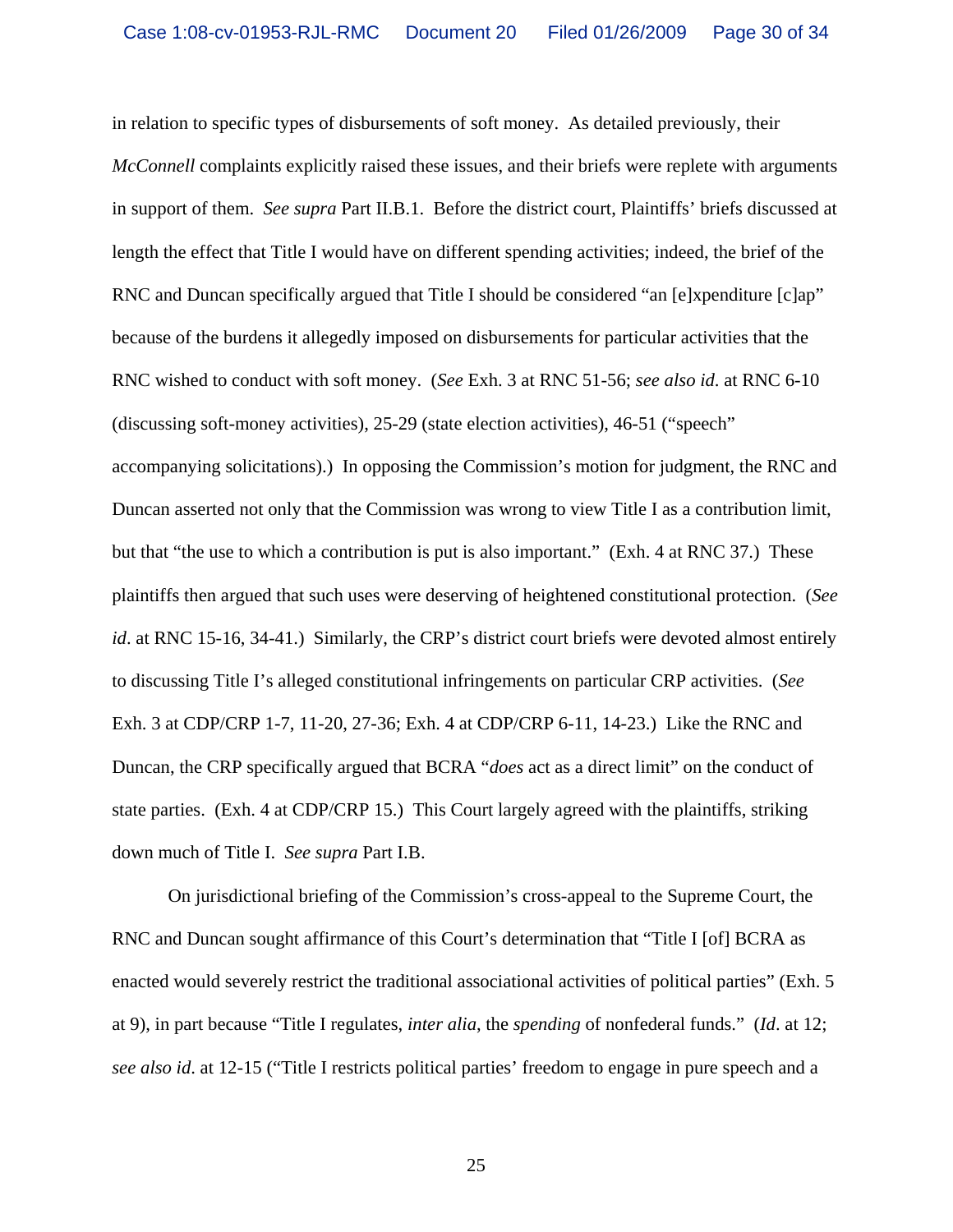in relation to specific types of disbursements of soft money. As detailed previously, their *McConnell* complaints explicitly raised these issues, and their briefs were replete with arguments in support of them. *See supra* Part II.B.1. Before the district court, Plaintiffs' briefs discussed at length the effect that Title I would have on different spending activities; indeed, the brief of the RNC and Duncan specifically argued that Title I should be considered "an [e]xpenditure [c]ap" because of the burdens it allegedly imposed on disbursements for particular activities that the RNC wished to conduct with soft money. (*See* Exh. 3 at RNC 51-56; *see also id*. at RNC 6-10 (discussing soft-money activities), 25-29 (state election activities), 46-51 ("speech" accompanying solicitations).) In opposing the Commission's motion for judgment, the RNC and Duncan asserted not only that the Commission was wrong to view Title I as a contribution limit, but that "the use to which a contribution is put is also important." (Exh. 4 at RNC 37.) These plaintiffs then argued that such uses were deserving of heightened constitutional protection. (*See id.* at RNC 15-16, 34-41.) Similarly, the CRP's district court briefs were devoted almost entirely to discussing Title I's alleged constitutional infringements on particular CRP activities. (*See* Exh. 3 at CDP/CRP 1-7, 11-20, 27-36; Exh. 4 at CDP/CRP 6-11, 14-23.) Like the RNC and Duncan, the CRP specifically argued that BCRA "*does* act as a direct limit" on the conduct of state parties. (Exh. 4 at CDP/CRP 15.) This Court largely agreed with the plaintiffs, striking down much of Title I. *See supra* Part I.B.

On jurisdictional briefing of the Commission's cross-appeal to the Supreme Court, the RNC and Duncan sought affirmance of this Court's determination that "Title I [of] BCRA as enacted would severely restrict the traditional associational activities of political parties" (Exh. 5 at 9), in part because "Title I regulates, *inter alia*, the *spending* of nonfederal funds." (*Id*. at 12; *see also id*. at 12-15 ("Title I restricts political parties' freedom to engage in pure speech and a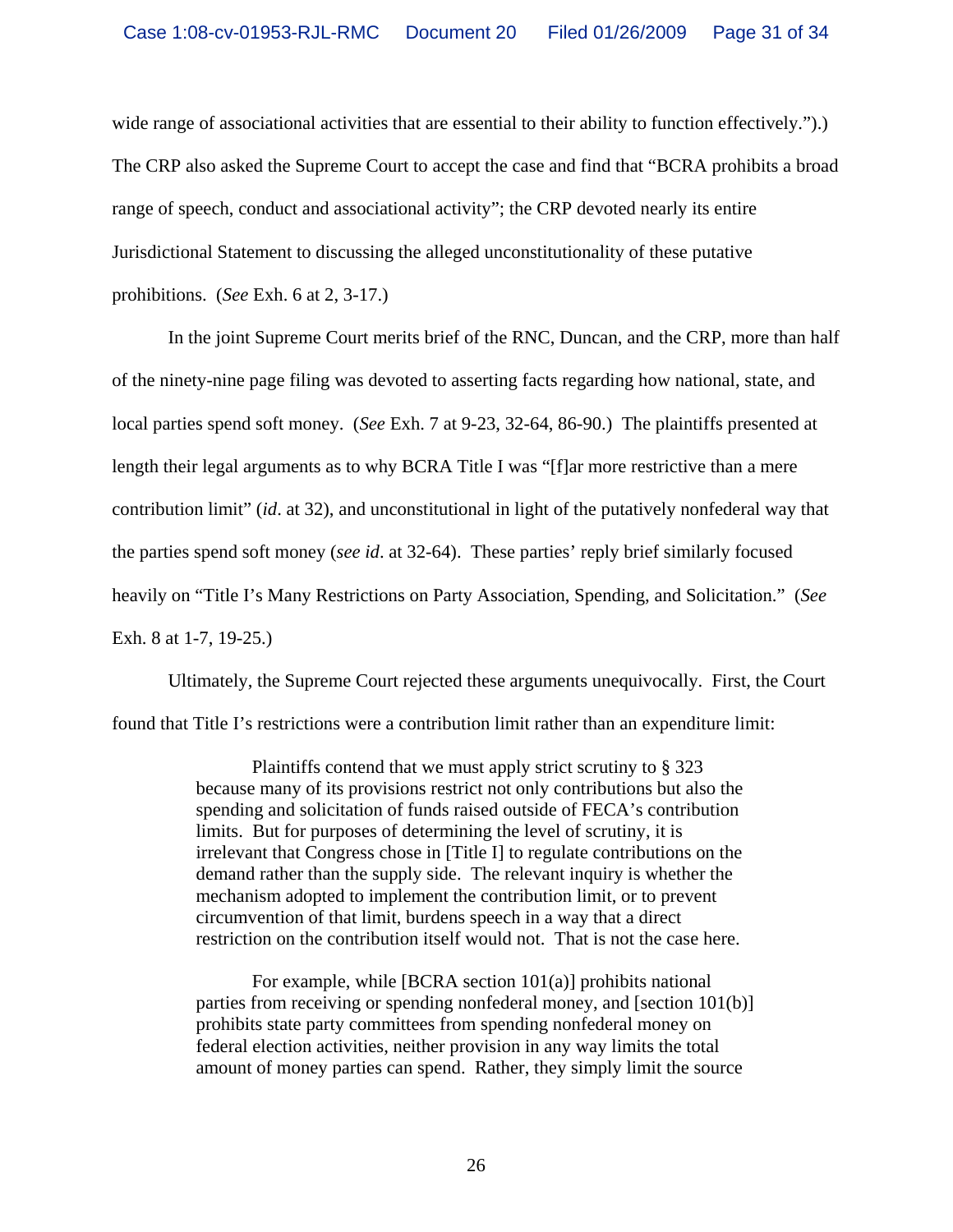wide range of associational activities that are essential to their ability to function effectively."). The CRP also asked the Supreme Court to accept the case and find that "BCRA prohibits a broad range of speech, conduct and associational activity"; the CRP devoted nearly its entire Jurisdictional Statement to discussing the alleged unconstitutionality of these putative prohibitions. (*See* Exh. 6 at 2, 3-17.)

In the joint Supreme Court merits brief of the RNC, Duncan, and the CRP, more than half of the ninety-nine page filing was devoted to asserting facts regarding how national, state, and local parties spend soft money. (*See* Exh. 7 at 9-23, 32-64, 86-90.) The plaintiffs presented at length their legal arguments as to why BCRA Title I was "[f]ar more restrictive than a mere contribution limit" (*id*. at 32), and unconstitutional in light of the putatively nonfederal way that the parties spend soft money (*see id*. at 32-64). These parties' reply brief similarly focused heavily on "Title I's Many Restrictions on Party Association, Spending, and Solicitation." (*See* Exh. 8 at 1-7, 19-25.)

Ultimately, the Supreme Court rejected these arguments unequivocally. First, the Court found that Title I's restrictions were a contribution limit rather than an expenditure limit:

> Plaintiffs contend that we must apply strict scrutiny to § 323 because many of its provisions restrict not only contributions but also the spending and solicitation of funds raised outside of FECA's contribution limits. But for purposes of determining the level of scrutiny, it is irrelevant that Congress chose in [Title I] to regulate contributions on the demand rather than the supply side. The relevant inquiry is whether the mechanism adopted to implement the contribution limit, or to prevent circumvention of that limit, burdens speech in a way that a direct restriction on the contribution itself would not. That is not the case here.

For example, while [BCRA section 101(a)] prohibits national parties from receiving or spending nonfederal money, and [section 101(b)] prohibits state party committees from spending nonfederal money on federal election activities, neither provision in any way limits the total amount of money parties can spend. Rather, they simply limit the source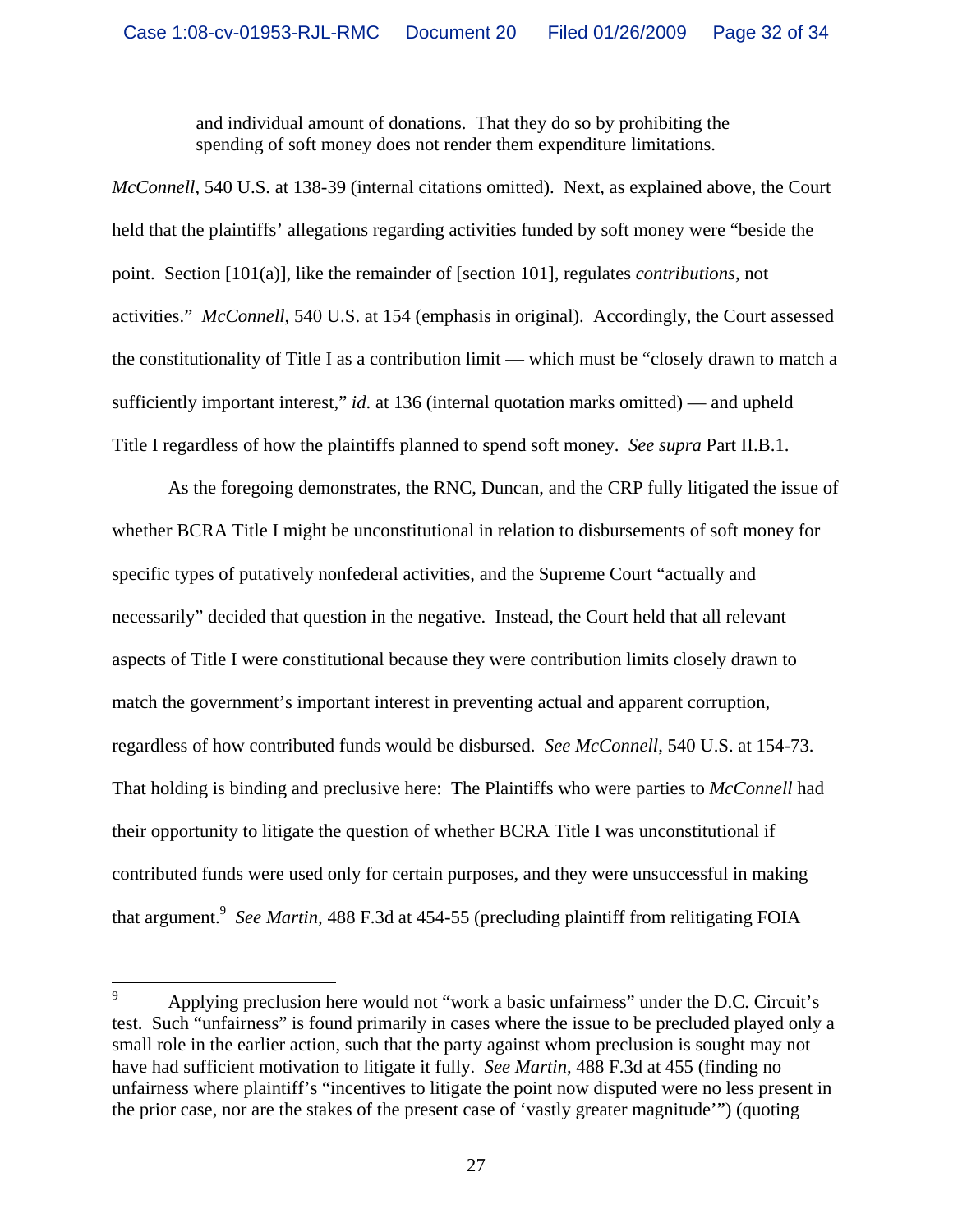and individual amount of donations. That they do so by prohibiting the spending of soft money does not render them expenditure limitations.

*McConnell*, 540 U.S. at 138-39 (internal citations omitted). Next, as explained above, the Court held that the plaintiffs' allegations regarding activities funded by soft money were "beside the point. Section [101(a)], like the remainder of [section 101], regulates *contributions*, not activities." *McConnell*, 540 U.S. at 154 (emphasis in original). Accordingly, the Court assessed the constitutionality of Title I as a contribution limit — which must be "closely drawn to match a sufficiently important interest," *id*. at 136 (internal quotation marks omitted) — and upheld Title I regardless of how the plaintiffs planned to spend soft money. *See supra* Part II.B.1.

 As the foregoing demonstrates, the RNC, Duncan, and the CRP fully litigated the issue of whether BCRA Title I might be unconstitutional in relation to disbursements of soft money for specific types of putatively nonfederal activities, and the Supreme Court "actually and necessarily" decided that question in the negative. Instead, the Court held that all relevant aspects of Title I were constitutional because they were contribution limits closely drawn to match the government's important interest in preventing actual and apparent corruption, regardless of how contributed funds would be disbursed. *See McConnell*, 540 U.S. at 154-73. That holding is binding and preclusive here: The Plaintiffs who were parties to *McConnell* had their opportunity to litigate the question of whether BCRA Title I was unconstitutional if contributed funds were used only for certain purposes, and they were unsuccessful in making that argument.<sup>9</sup> See Martin, 488 F.3d at 454-55 (precluding plaintiff from relitigating FOIA

<sup>—&</sup>lt;br>9 Applying preclusion here would not "work a basic unfairness" under the D.C. Circuit's test. Such "unfairness" is found primarily in cases where the issue to be precluded played only a small role in the earlier action, such that the party against whom preclusion is sought may not have had sufficient motivation to litigate it fully. *See Martin*, 488 F.3d at 455 (finding no unfairness where plaintiff's "incentives to litigate the point now disputed were no less present in the prior case, nor are the stakes of the present case of 'vastly greater magnitude'") (quoting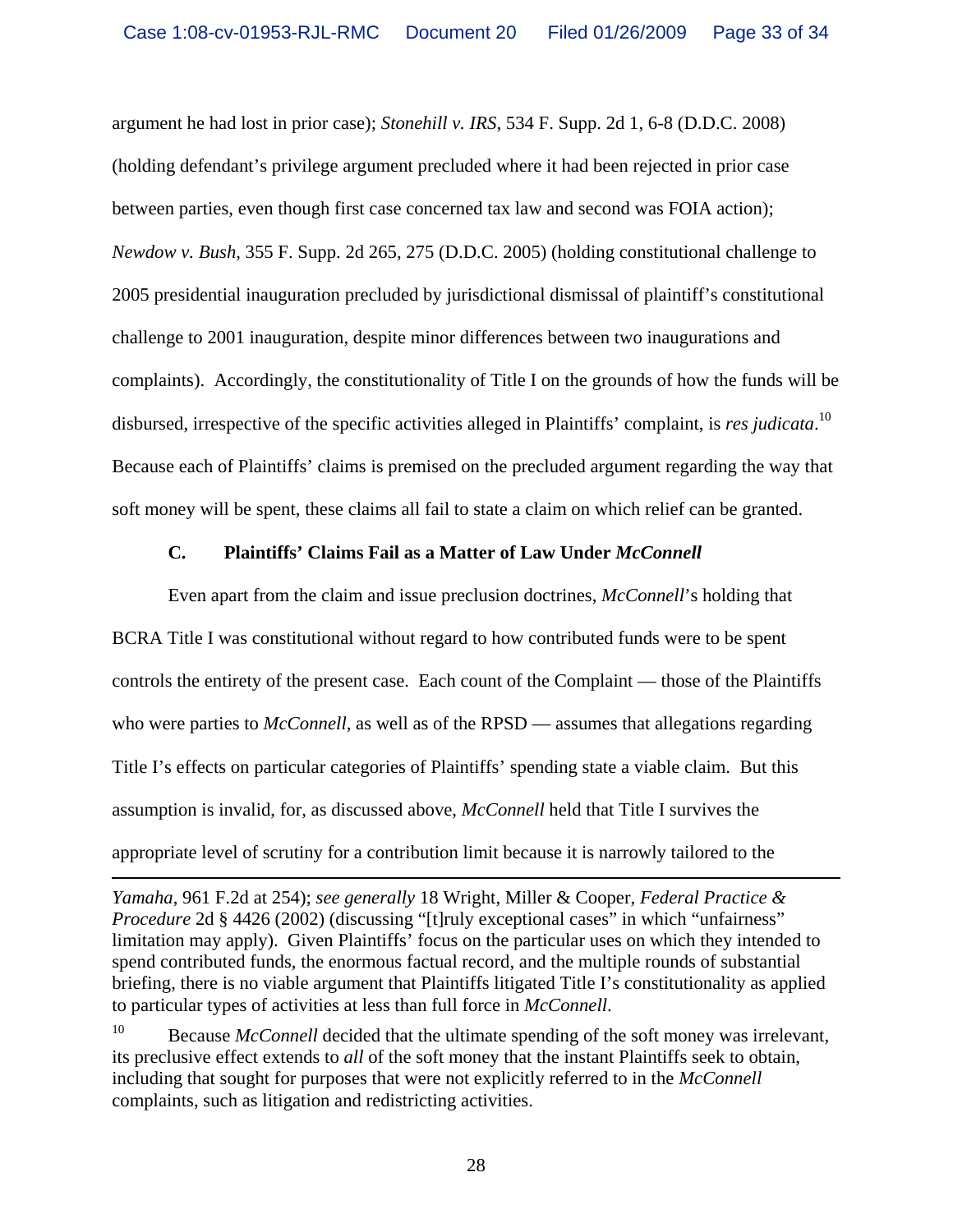argument he had lost in prior case); *Stonehill v. IRS*, 534 F. Supp. 2d 1, 6-8 (D.D.C. 2008) (holding defendant's privilege argument precluded where it had been rejected in prior case between parties, even though first case concerned tax law and second was FOIA action); *Newdow v. Bush*, 355 F. Supp. 2d 265, 275 (D.D.C. 2005) (holding constitutional challenge to 2005 presidential inauguration precluded by jurisdictional dismissal of plaintiff's constitutional challenge to 2001 inauguration, despite minor differences between two inaugurations and complaints). Accordingly, the constitutionality of Title I on the grounds of how the funds will be disbursed, irrespective of the specific activities alleged in Plaintiffs' complaint, is *res judicata*. 10 Because each of Plaintiffs' claims is premised on the precluded argument regarding the way that soft money will be spent, these claims all fail to state a claim on which relief can be granted.

## **C. Plaintiffs' Claims Fail as a Matter of Law Under** *McConnell*

 Even apart from the claim and issue preclusion doctrines, *McConnell*'s holding that BCRA Title I was constitutional without regard to how contributed funds were to be spent controls the entirety of the present case. Each count of the Complaint — those of the Plaintiffs who were parties to *McConnell*, as well as of the RPSD — assumes that allegations regarding Title I's effects on particular categories of Plaintiffs' spending state a viable claim. But this assumption is invalid, for, as discussed above, *McConnell* held that Title I survives the appropriate level of scrutiny for a contribution limit because it is narrowly tailored to the

*Yamaha*, 961 F.2d at 254); *see generally* 18 Wright, Miller & Cooper, *Federal Practice & Procedure* 2d § 4426 (2002) (discussing "[t]ruly exceptional cases" in which "unfairness" limitation may apply). Given Plaintiffs' focus on the particular uses on which they intended to spend contributed funds, the enormous factual record, and the multiple rounds of substantial briefing, there is no viable argument that Plaintiffs litigated Title I's constitutionality as applied to particular types of activities at less than full force in *McConnell*.

<sup>&</sup>lt;sup>10</sup> Because *McConnell* decided that the ultimate spending of the soft money was irrelevant, its preclusive effect extends to *all* of the soft money that the instant Plaintiffs seek to obtain, including that sought for purposes that were not explicitly referred to in the *McConnell*  complaints, such as litigation and redistricting activities.